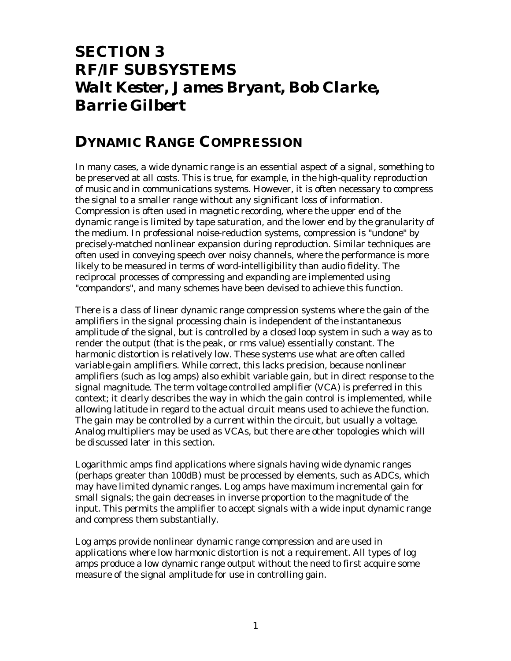# **SECTION 3 RF/IF SUBSYSTEMS** *Walt Kester, James Bryant, Bob Clarke, Barrie Gilbert*

# **DYNAMIC RANGE COMPRESSION**

In many cases, a wide dynamic range is an essential aspect of a signal, something to be preserved at all costs. This is true, for example, in the high-quality reproduction of music and in communications systems. However, it is often necessary to compress the signal to a smaller range without any significant loss of information. Compression is often used in magnetic recording, where the upper end of the dynamic range is limited by tape saturation, and the lower end by the granularity of the medium. In professional noise-reduction systems, compression is "undone" by precisely-matched nonlinear expansion during reproduction. Similar techniques are often used in conveying speech over noisy channels, where the performance is more likely to be measured in terms of word-intelligibility than audio fidelity. The reciprocal processes of compressing and expanding are implemented using "compandors", and many schemes have been devised to achieve this function.

There is a class of *linear* dynamic range compression systems where the gain of the amplifiers in the signal processing chain is independent of the instantaneous amplitude of the signal, but is controlled by a closed loop system in such a way as to render the output (that is the peak, or rms value) essentially constant. The harmonic distortion is relatively low. These systems use what are often called *variable-gain amplifiers*. While correct, this lacks precision, because *nonlinear* amplifiers (such as log amps) also exhibit variable gain, but in direct response to the signal magnitude. The term *voltage controlled amplifier* (VCA) is preferred in this context; it clearly describes the way in which the gain control is implemented, while allowing latitude in regard to the actual circuit means used to achieve the function. The gain may be controlled by a *current* within the circuit, but usually a voltage. Analog multipliers may be used as VCAs, but there are other topologies which will be discussed later in this section.

Logarithmic amps find applications where signals having wide dynamic ranges (perhaps greater than 100dB) must be processed by elements, such as ADCs, which may have limited dynamic ranges. Log amps have maximum incremental gain for small signals; the gain decreases in inverse proportion to the magnitude of the input. This permits the amplifier to accept signals with a wide input dynamic range and compress them substantially.

Log amps provide nonlinear dynamic range compression and are used in applications where low harmonic distortion is not a requirement. All types of log amps produce a low dynamic range output without the need to first acquire some measure of the signal amplitude for use in controlling gain.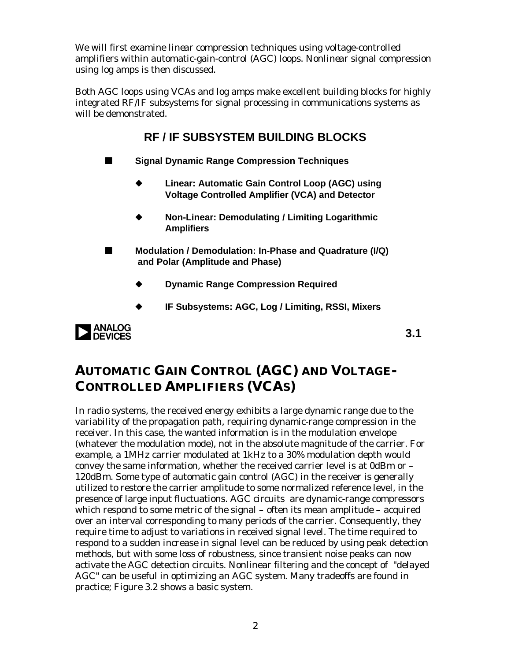We will first examine *linear* compression techniques using voltage-controlled amplifiers within automatic-gain-control (AGC) loops. *Nonlinear* signal compression using log amps is then discussed.

Both AGC loops using VCAs and log amps make excellent building blocks for highly integrated RF/IF subsystems for signal processing in communications systems as will be demonstrated.

# **RF / IF SUBSYSTEM BUILDING BLOCKS**

- **Signal Dynamic Range Compression Techniques** 
	- ◆ Linear: Automatic Gain Control Loop (AGC) using **Voltage Controlled Amplifier (VCA) and Detector**
	- u **Non-Linear: Demodulating / Limiting Logarithmic Amplifiers**
- **n** Modulation / Demodulation: In-Phase and Quadrature (I/Q)  **and Polar (Amplitude and Phase)**
	- **Dynamic Range Compression Required**
	- IF Subsystems: AGC, Log / Limiting, RSSI, Mixers

# **ANALOG**<br>DEVICES

**3.1**

# **AUTOMATIC GAIN CONTROL (AGC) AND VOLTAGE-CONTROLLED AMPLIFIERS (VCAS)**

In radio systems, the received energy exhibits a large dynamic range due to the variability of the propagation path, requiring dynamic-range compression in the receiver. In this case, the wanted information is in the modulation envelope (whatever the modulation mode), not in the absolute magnitude of the carrier. For example, a 1MHz carrier modulated at 1kHz to a 30% modulation depth would convey the same information, whether the received carrier level is at 0dBm or – 120dBm. Some type of automatic gain control (AGC) in the receiver is generally utilized to restore the carrier amplitude to some normalized reference level, in the presence of large input fluctuations. AGC circuits are dynamic-range compressors which respond to some metric of the signal – often its mean amplitude – acquired over an interval corresponding to many periods of the carrier. Consequently, they require time to adjust to variations in received signal level. The time required to respond to a sudden increase in signal level can be reduced by using peak detection methods, but with some loss of robustness, since transient noise peaks can now activate the AGC detection circuits. Nonlinear filtering and the concept of "delayed AGC" can be useful in optimizing an AGC system. Many tradeoffs are found in practice; Figure 3.2 shows a basic system.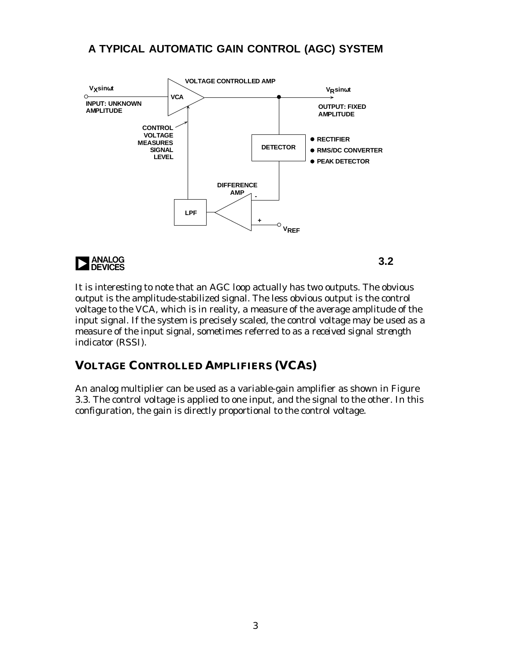### **A TYPICAL AUTOMATIC GAIN CONTROL (AGC) SYSTEM**





It is interesting to note that an AGC loop actually has two outputs. The obvious output is the amplitude-stabilized signal. The less obvious output is the control voltage to the VCA, which is in reality, a measure of the average amplitude of the input signal. If the system is precisely scaled, the control voltage may be used as a measure of the input signal, sometimes referred to as a *received signal strength indicator* (RSSI).

### **VOLTAGE CONTROLLED AMPLIFIERS (VCAS)**

An analog multiplier can be used as a variable-gain amplifier as shown in Figure 3.3. The control voltage is applied to one input, and the signal to the other. In this configuration, the gain is directly proportional to the control voltage.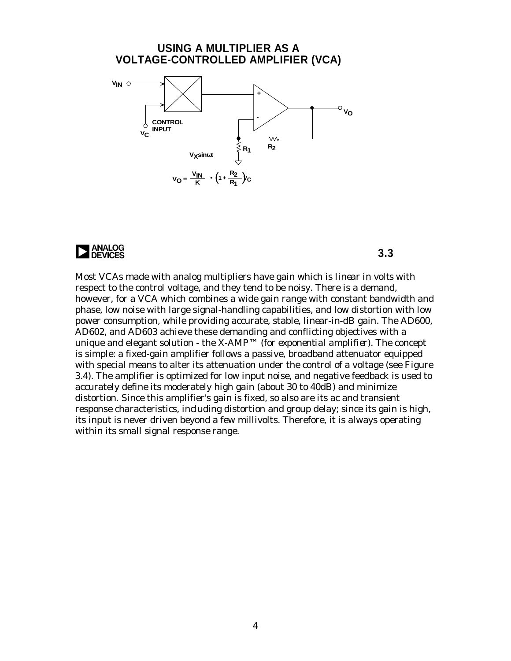### **USING A MULTIPLIER AS A VOLTAGE-CONTROLLED AMPLIFIER (VCA)**





Most VCAs made with analog multipliers have gain which is *linear in volts* with respect to the control voltage, and they tend to be noisy. There is a demand, however, for a VCA which combines a wide gain range with constant bandwidth and phase, low noise with large signal-handling capabilities, and low distortion with low power consumption, while providing accurate, stable, *linear-in-dB* gain. The AD600, AD602, and AD603 achieve these demanding and conflicting objectives with a unique and elegant solution - the X-AMP™ (for *exponential amplifier*). The concept is simple: a fixed-gain amplifier follows a passive, broadband attenuator equipped with special means to alter its attenuation under the control of a voltage (see Figure 3.4). The amplifier is optimized for low input noise, and negative feedback is used to accurately define its moderately high gain (about 30 to 40dB) and minimize distortion. Since this amplifier's gain is fixed, so also are its ac and transient response characteristics, including distortion and group delay; since its gain is high, its input is never driven beyond a few millivolts. Therefore, it is always operating within its small signal response range.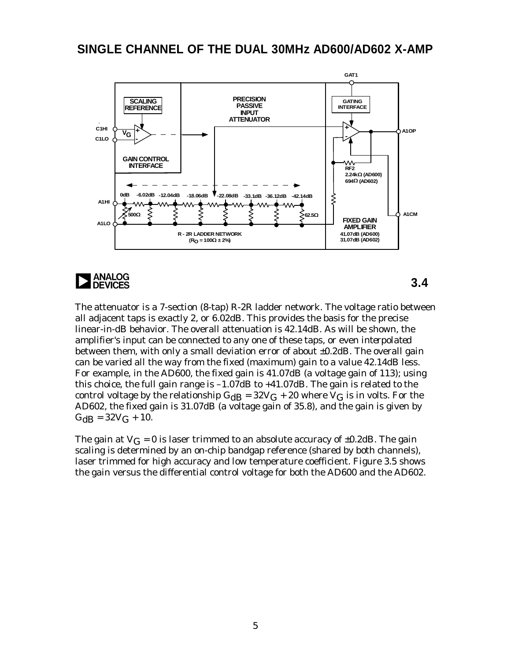

**analog 3.4**<br>**3.4** 

The attenuator is a 7-section (8-tap) R-2R ladder network. The voltage ratio between all adjacent taps is exactly 2, or 6.02dB. This provides the basis for the precise linear-in-dB behavior. The overall attenuation is 42.14dB. As will be shown, the amplifier's input can be connected to any one of these taps, or even *interpolated* between them, with only a small deviation error of about ±0.2dB. The overall gain can be varied all the way from the fixed (maximum) gain to a value 42.14dB less. For example, in the AD600, the fixed gain is 41.07dB (a voltage gain of 113); using this choice, the full gain range is –1.07dB to +41.07dB. The gain is related to the control voltage by the relationship G<sub>dB</sub> =  $32V_G + 20$  where  $V_G$  is in volts. For the AD602, the fixed gain is 31.07dB (a voltage gain of 35.8), and the gain is given by  $G<sub>dB</sub> = 32V<sub>G</sub> + 10.$ 

The gain at  $V_G = 0$  is laser trimmed to an absolute accuracy of  $\pm 0.2$ dB. The gain scaling is determined by an on-chip bandgap reference (shared by both channels), laser trimmed for high accuracy and low temperature coefficient. Figure 3.5 shows the gain versus the differential control voltage for both the AD600 and the AD602.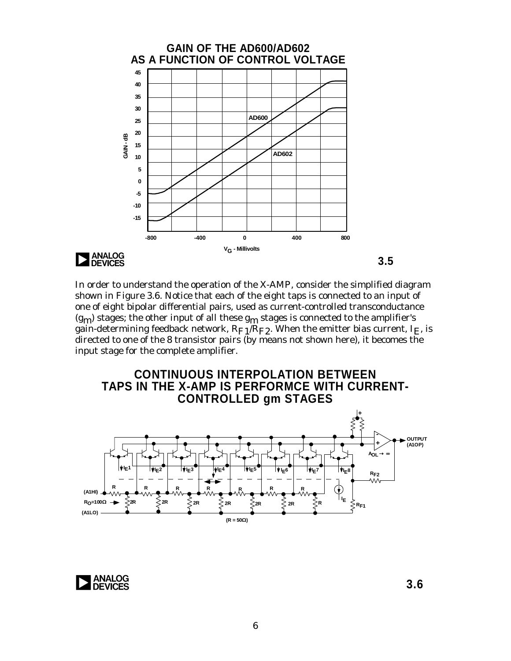



In order to understand the operation of the X-AMP, consider the simplified diagram shown in Figure 3.6. Notice that each of the eight taps is connected to an input of one of eight bipolar differential pairs, used as current-controlled transconductance  $(g_m)$  stages; the other input of all these  $g_m$  stages is connected to the amplifier's gain-determining feedback network,  $R_{F1}/R_{F2}$ . When the emitter bias current, I<sub>E</sub>, is directed to one of the 8 transistor pairs (by means not shown here), it becomes the input stage for the complete amplifier.

# **CONTINUOUS INTERPOLATION BETWEEN TAPS IN THE X-AMP IS PERFORMCE WITH CURRENT-CONTROLLED gm STAGES**



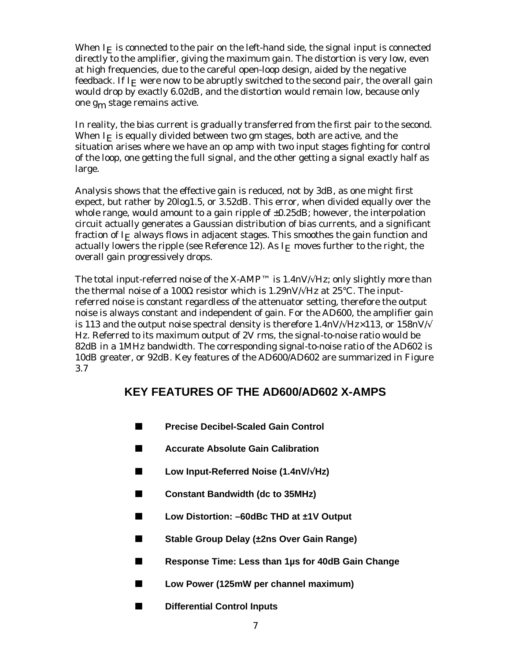When  $I_{\rm E}$  is connected to the pair on the left-hand side, the signal input is connected directly to the amplifier, giving the maximum gain. The distortion is very low, even at high frequencies, due to the careful open-loop design, aided by the negative feedback. If  $I_F$  were now to be abruptly switched to the second pair, the overall gain would drop by exactly 6.02dB, and the distortion would remain low, because only one g<sub>m</sub> stage remains active.

In reality, the bias current is *gradually* transferred from the first pair to the second. When  $I_F$  is equally divided between two gm stages, both are active, and the situation arises where we have an op amp with two input stages fighting for control of the loop, one getting the full signal, and the other getting a signal exactly half as large.

Analysis shows that the effective gain is reduced, not by 3dB, as one might first expect, but rather by 20log1.5, or 3.52dB. This error, when divided equally over the whole range, would amount to a gain ripple of  $\pm 0.25$ dB; however, the interpolation circuit actually generates a Gaussian distribution of bias currents, and a significant fraction of  $I<sub>E</sub>$  always flows in adjacent stages. This smoothes the gain function and actually lowers the ripple (see Reference 12). As  $I<sub>E</sub>$  moves further to the right, the overall gain progressively drops.

The total input-referred noise of the X-AMP<sup>™</sup> is 1.4nV/ $\forall$ Hz; only slightly more than the thermal noise of a 100 $\Omega$  resistor which is 1.29nV/ $\forall$ Hz at 25°C. The inputreferred noise is constant regardless of the attenuator setting, therefore the output noise is always constant and independent of gain. For the AD600, the amplifier gain is 113 and the output noise spectral density is therefore 1.4nV/ $\forall$ Hz $\times$ 113, or 158nV/ $\forall$ Hz. Referred to its maximum output of 2V rms, the signal-to-noise ratio would be 82dB in a 1MHz bandwidth. The corresponding signal-to-noise ratio of the AD602 is 10dB greater, or 92dB. Key features of the AD600/AD602 are summarized in Figure 3.7

### **KEY FEATURES OF THE AD600/AD602 X-AMPS**

- **n** Precise Decibel-Scaled Gain Control
- **Accurate Absolute Gain Calibration**
- n **Low Input-Referred Noise (1.4nV/**√**Hz)**
- Constant Bandwidth (dc to 35MHz)
- Low Distortion: –60dBc THD at ±1V Output
- Stable Group Delay (±2ns Over Gain Range)
- Response Time: Less than 1µs for 40dB Gain Change
- Low Power (125mW per channel maximum)
- **n** Differential Control Inputs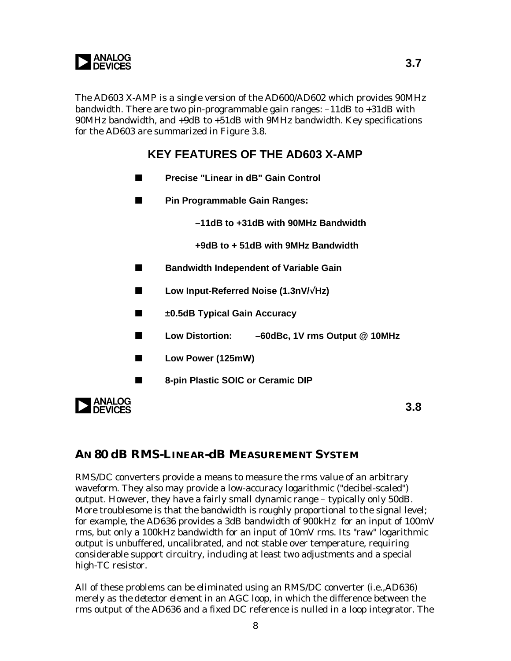

The AD603 X-AMP is a single version of the AD600/AD602 which provides 90MHz bandwidth. There are two pin-programmable gain ranges: –11dB to +31dB with 90MHz bandwidth, and +9dB to +51dB with 9MHz bandwidth. Key specifications for the AD603 are summarized in Figure 3.8.

# **KEY FEATURES OF THE AD603 X-AMP**

**n** Precise "Linear in dB" Gain Control **n** Pin Programmable Gain Ranges: **–11dB to +31dB with 90MHz Bandwidth +9dB to + 51dB with 9MHz Bandwidth E** Bandwidth Independent of Variable Gain n **Low Input-Referred Noise (1.3nV/**√**Hz)** ■ **±0.5dB Typical Gain Accuracy** ■ Low Distortion: –60dBc, 1V rms Output @ 10MHz **N** Low Power (125mW) **n** 8-pin Plastic SOIC or Ceramic DIP



**3.8**

### **AN 80 dB RMS-LINEAR-dB MEASUREMENT SYSTEM**

RMS/DC converters provide a means to measure the rms value of an arbitrary waveform. They also may provide a low-accuracy logarithmic ("decibel-scaled") output. However, they have a fairly small dynamic range – typically only 50dB. More troublesome is that the bandwidth is roughly proportional to the signal level; for example, the AD636 provides a 3dB bandwidth of 900kHz for an input of 100mV rms, but only a 100kHz bandwidth for an input of 10mV rms. Its "raw" logarithmic output is unbuffered, uncalibrated, and not stable over temperature, requiring considerable support circuitry, including at least two adjustments and a special high-TC resistor.

All of these problems can be eliminated using an RMS/DC converter (i.e.,AD636) merely as *the detector element* in an AGC loop, in which the difference between the rms output of the AD636 and a fixed DC reference is nulled in a loop integrator. The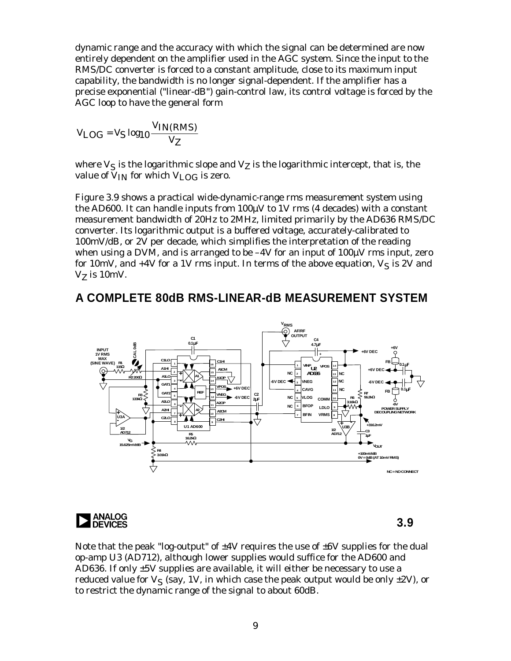dynamic range and the accuracy with which the signal can be determined are now entirely dependent on the amplifier used in the AGC system. Since the input to the RMS/DC converter is forced to a constant amplitude, close to its maximum input capability, the bandwidth is no longer signal-dependent. If the amplifier has a precise exponential ("linear-dB") gain-control law, its control voltage is forced by the AGC loop to have the general form

$$
V_{LOG} = V_S \log_{10} \frac{V_{IN(RMS)}}{V_Z}
$$

where  $V_S$  is the logarithmic slope and  $V_Z$  is the logarithmic intercept, that is, the value of  $V_{IN}$  for which  $V_{I,OG}$  is zero.

Figure 3.9 shows a practical wide-dynamic-range rms measurement system using the AD600. It can handle inputs from  $100\mu$ V to 1V rms (4 decades) with a constant measurement bandwidth of 20Hz to 2MHz, limited primarily by the AD636 RMS/DC converter. Its logarithmic output is a buffered voltage, accurately-calibrated to 100mV/dB, or 2V per decade, which simplifies the interpretation of the reading when using a DVM, and is arranged to be  $-4V$  for an input of  $100\mu V$  rms input, zero for 10mV, and  $+4V$  for a 1V rms input. In terms of the above equation,  $V_S$  is 2V and  $V_Z$  is 10mV.

### **A COMPLETE 80dB RMS-LINEAR-dB MEASUREMENT SYSTEM**





Note that the peak "log-output" of  $\pm 4V$  requires the use of  $\pm 6V$  supplies for the dual op-amp U3 (AD712), although lower supplies would suffice for the AD600 and AD636. If only ±5V supplies are available, it will either be necessary to use a reduced value for  $V_S$  (say, 1V, in which case the peak output would be only  $\pm 2V$ ), or to restrict the dynamic range of the signal to about 60dB.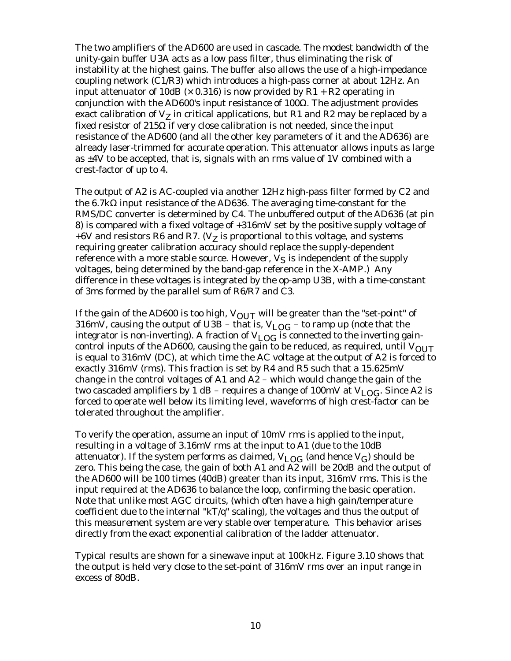The two amplifiers of the AD600 are used in cascade. The modest bandwidth of the unity-gain buffer U3A acts as a low pass filter, thus eliminating the risk of instability at the highest gains. The buffer also allows the use of a high-impedance coupling network (C1/R3) which introduces a high-pass corner at about 12Hz. An input attenuator of 10dB ( $\times$  0.316) is now provided by R1 + R2 operating in conjunction with the AD600's input resistance of 100Ω. The adjustment provides exact calibration of  $\rm V_Z$  in critical applications, but R1 and R2 may be replaced by a fixed resistor of 215 $\Omega$  if very close calibration is not needed, since the input resistance of the AD600 (and all the other key parameters of it and the AD636) are already laser-trimmed for accurate operation. This attenuator allows inputs as large as  $\pm$ 4V to be accepted, that is, signals with an rms value of 1V combined with a crest-factor of up to 4.

The output of A2 is AC-coupled via another 12Hz high-pass filter formed by C2 and the 6.7kΩ input resistance of the AD636. The averaging time-constant for the RMS/DC converter is determined by C4. The unbuffered output of the AD636 (at pin 8) is compared with a fixed voltage of +316mV set by the positive supply voltage of +6V and resistors R6 and R7. (V $_{\rm Z}$  is proportional to this voltage, and systems requiring greater calibration accuracy should replace the supply-dependent reference with a more stable source. However, V<sub>S</sub> is independent of the supply voltages, being determined by the band-gap reference in the X-AMP.) Any difference in these voltages is integrated by the op-amp U3B, with a time-constant of 3ms formed by the parallel sum of R6/R7 and C3.

If the gain of the AD600 is too high,  $V_{\text{OUT}}$  will be greater than the "set-point" of 316mV, causing the output of U3B – that is,  $V_{LOG}$  – to ramp up (note that the integrator is non-inverting). A fraction of  $V_{LOG}$  is connected to the *inverting* gaincontrol inputs of the AD600, causing the gain to be reduced, as required, until  $V_{\text{OUT}}$ is equal to 316mV (DC), at which time the AC voltage at the output of A2 is forced to exactly 316mV (rms). This fraction is set by R4 and R5 such that a 15.625mV change in the control voltages of A1 and A2 – which would change the gain of the two cascaded amplifiers by 1 dB – requires a change of 100mV at  $V_{\text{LOC}}$ . Since A2 is forced to operate well below its limiting level, waveforms of high crest-factor can be tolerated throughout the amplifier.

To verify the operation, assume an input of 10mV rms is applied to the input, resulting in a voltage of 3.16mV rms at the input to A1 (due to the 10dB attenuator). If the system performs as claimed,  $V_{L,OG}$  (and hence  $V_G$ ) should be zero. This being the case, the gain of both A1 and A2 will be 20dB and the output of the AD600 will be 100 times (40dB) greater than its input, 316mV rms. This is the input required at the AD636 to balance the loop, confirming the basic operation. Note that unlike most AGC circuits, (which often have a high gain/temperature coefficient due to the internal "kT/q" scaling), the voltages and thus the output of this measurement system are very stable over temperature. This behavior arises directly from the exact exponential calibration of the ladder attenuator.

Typical results are shown for a sinewave input at 100kHz. Figure 3.10 shows that the output is held very close to the set-point of 316mV rms over an input range in excess of 80dB.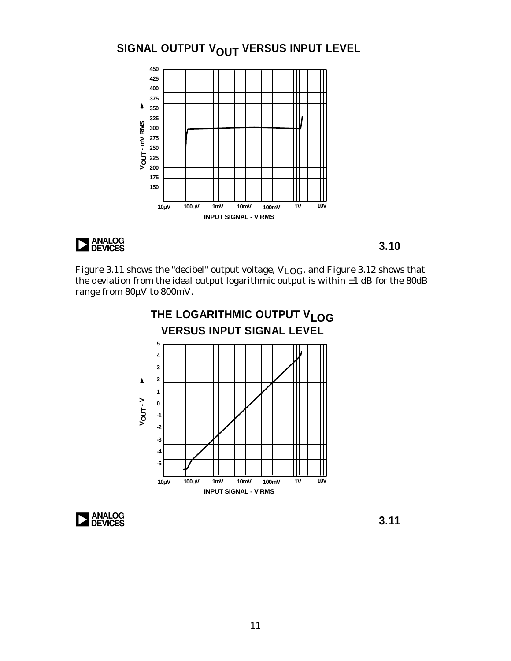# **SIGNAL OUTPUT VOUT VERSUS INPUT LEVEL**





Figure 3.11 shows the "decibel" output voltage, VLOG, and Figure 3.12 shows that the *deviation* from the ideal output logarithmic output is within ±1 dB for the 80dB range from 80µV to 800mV.



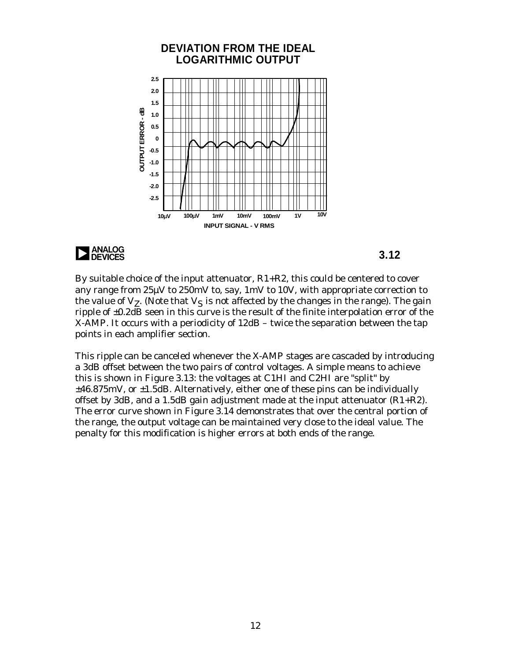



By suitable choice of the input attenuator,  $R1+R2$ , this could be centered to cover any range from 25μV to 250mV to, say, 1mV to 10V, with appropriate correction to the value of V<sub>Z</sub>. (Note that V<sub>S</sub> is not affected by the changes in the range). The gain ripple of ±0.2dB seen in this curve is the result of the finite interpolation error of the X-AMP. It occurs with a periodicity of 12dB – twice the separation between the tap points in each amplifier section.

This ripple can be canceled whenever the X-AMP stages are cascaded by introducing a 3dB offset between the two pairs of control voltages. A simple means to achieve this is shown in Figure 3.13: the voltages at C1HI and C2HI are "split" by  $\pm 46.875$ mV, or  $\pm 1.5$ dB. Alternatively, either one of these pins can be individually offset by 3dB, and a 1.5dB gain adjustment made at the input attenuator  $(R1+R2)$ . The error curve shown in Figure 3.14 demonstrates that over the central portion of the range, the output voltage can be maintained very close to the ideal value. The penalty for this modification is higher errors at both ends of the range.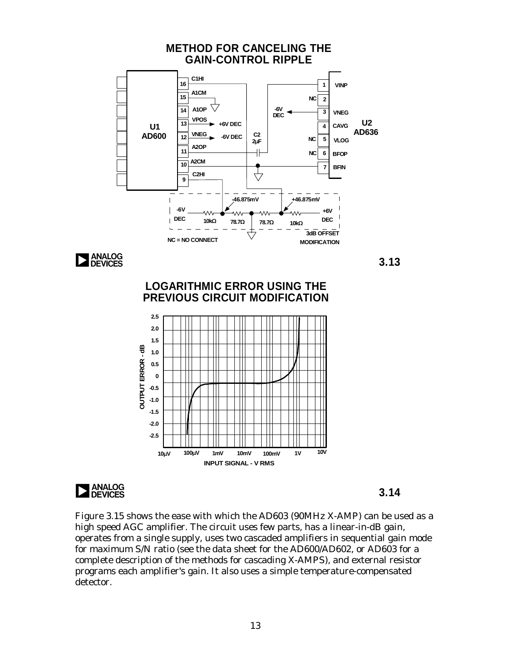



Figure 3.15 shows the ease with which the AD603 (90MHz X-AMP) can be used as a high speed AGC amplifier. The circuit uses few parts, has a linear-in-dB gain, operates from a single supply, uses two cascaded amplifiers in sequential gain mode for maximum S/N ratio (see the data sheet for the AD600/AD602, or AD603 for a complete description of the methods for cascading X-AMPS), and external resistor programs each amplifier's gain. It also uses a simple temperature-compensated detector.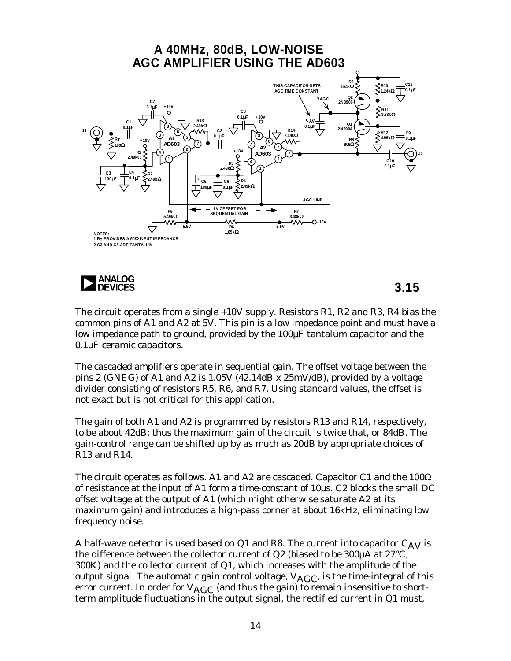### **A 40MHz, 80dB, LOW-NOISE AGC AMPLIFIER USING THE AD603 R9 1.54k**Ω **C11 THIS CAPACITOR SETS AGC TIME CONSTANT R10 0.1**μ**F 1.24k**Ω **Q2 VAGC 2N3906 C7 +10V R11 0.1**μ**F C8 3.83k**Ω **0.1**μ**F +10V R13 CAV C1 Q1 2.49k**Ω **8 0.1**μ**F 0.1**μ**F 2N3904 R14 R12 J1 C2 6 C9 2.49k**Ω **3 0.1**μ**F 8 A1 5 4.99k**Ω **0.1**μ**F RT R8 +10V 6 AD603 7 806**Ω **100**Ω १ **3 A2 5 2 +10V 4 AD603 R1 7 J2 2.49k**Ω **2 1 R3 4 C10 0.1**μ**F 2.49k**Ω **1 C4 C3 R2 0.1**μ**F 100**μ**F 2.49kΩ** | <u>L+</u> c5 **+ C6 R4 2.49k**Ω **100**μ**F 0.1**μ**F AGC LINE 1V OFFSET FOR R5 5.49k**Ω **SEQUENTIAL GAIN R7 3.48k**Ω ᄿ  $\bigcap_{k}$ 10V **5.5V R6 6.5V 1.05k**Ω **NOTES: <sup>1</sup> RT PROVIDES <sup>A</sup> <sup>50</sup>**Ω**INPUT IMPEDANCE 2 C3 AND C5 ARE TANTALUM**



The circuit operates from a single +10V supply. Resistors R1, R2 and R3, R4 bias the common pins of A1 and A2 at 5V. This pin is a low impedance point and must have a low impedance path to ground, provided by the 100µF tantalum capacitor and the 0.1µF ceramic capacitors.

The cascaded amplifiers operate in sequential gain. The offset voltage between the pins 2 (GNEG) of A1 and A2 is  $1.05V$  (42.14dB x  $25mV$ /dB), provided by a voltage divider consisting of resistors R5, R6, and R7. Using standard values, the offset is not exact but is not critical for this application.

The gain of both A1 and A2 is programmed by resistors R13 and R14, respectively, to be about 42dB; thus the maximum gain of the circuit is twice that, or 84dB. The gain-control range can be shifted up by as much as 20dB by appropriate choices of R13 and R14.

The circuit operates as follows. A1 and A2 are cascaded. Capacitor C1 and the 100 $\Omega$ of resistance at the input of A1 form a time-constant of 10µs. C2 blocks the small DC offset voltage at the output of A1 (which might otherwise saturate A2 at its maximum gain) and introduces a high-pass corner at about 16kHz, eliminating low frequency noise.

A half-wave detector is used based on Q1 and R8. The current into capacitor  $C_{AV}$  is the difference between the collector current of Q2 (biased to be 300µA at 27°C, 300K) and the collector current of Q1, which increases with the amplitude of the output signal. The automatic gain control voltage,  $V_{AGC}$ , is the time-integral of this error current. In order for  $V_{\text{AGC}}$  (and thus the gain) to remain insensitive to shortterm amplitude fluctuations in the output signal, the rectified current in Q1 must,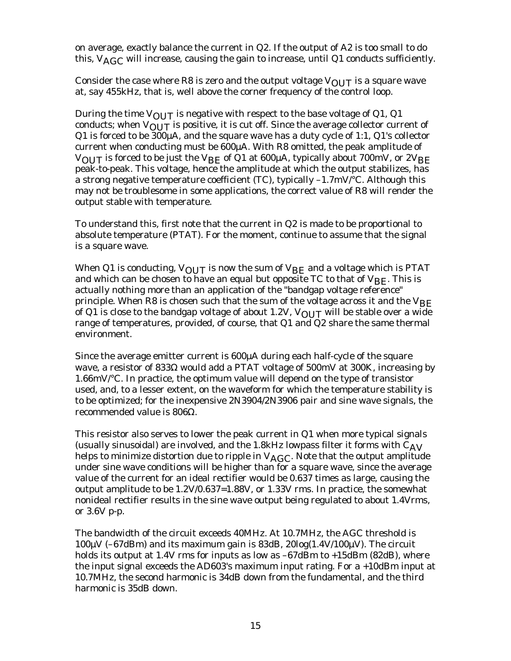on average, exactly balance the current in Q2. If the output of A2 is too small to do this,  $V_{\text{AGC}}$  will increase, causing the gain to increase, until Q1 conducts sufficiently.

Consider the case where R8 is zero and the output voltage  $V_{\text{OUT}}$  is a square wave at, say 455kHz, that is, well above the corner frequency of the control loop.

During the time  $V_{\text{OUT}}$  is negative with respect to the base voltage of Q1, Q1 conducts; when  $V_{\text{OUT}}$  is positive, it is cut off. Since the average collector current of Q1 is forced to be 300µA, and the square wave has a duty cycle of 1:1, Q1's collector current when conducting must be 600µA. With R8 omitted, the peak amplitude of VOUT is forced to be just the VBE of Q1 at 600µA, typically about 700mV, or  $2V_{\text{BE}}$ peak-to-peak. This voltage, hence the amplitude at which the output stabilizes, has a strong negative temperature coefficient (TC), typically  $-1.7 \text{mV}$ °C. Although this may not be troublesome in some applications, the correct value of R8 will render the output stable with temperature.

To understand this, first note that the current in Q2 is made to be proportional to absolute temperature (PTAT). For the moment, continue to assume that the signal is a square wave.

When Q1 is conducting,  $V_{\text{OUT}}$  is now the sum of  $V_{BE}$  and a voltage which is PTAT and which can be chosen to have an equal but opposite TC to that of  $V_{BE}$ . This is actually nothing more than an application of the "bandgap voltage reference" principle. When R8 is chosen such that the sum of the voltage across it and the  $V_{\rm BE}$ of Q1 is close to the bandgap voltage of about 1.2V,  $V_{\text{OUT}}$  will be stable over a wide range of temperatures, provided, of course, that Q1 and Q2 share the same thermal environment.

Since the average emitter current is 600µA during each half-cycle of the square wave, a resistor of 833 $\Omega$  would add a PTAT voltage of 500mV at 300K, increasing by 1.66mV/°C. In practice, the optimum value will depend on the type of transistor used, and, to a lesser extent, on the waveform for which the temperature stability is to be optimized; for the inexpensive 2N3904/2N3906 pair and sine wave signals, the recommended value is 806Ω.

This resistor also serves to lower the peak current in Q1 when more typical signals (usually sinusoidal) are involved, and the 1.8kHz lowpass filter it forms with  $C_{AV}$ helps to minimize distortion due to ripple in  $V_{\text{AGC}}$ . Note that the output amplitude under sine wave conditions will be higher than for a square wave, since the average value of the current for an ideal rectifier would be 0.637 times as large, causing the output amplitude to be 1.2V/0.637=1.88V, or 1.33V rms. In practice, the somewhat nonideal rectifier results in the sine wave output being regulated to about 1.4Vrms, or 3.6V p-p.

The bandwidth of the circuit exceeds 40MHz. At 10.7MHz, the AGC threshold is  $100\mu$ V (–67dBm) and its maximum gain is 83dB, 20log( $1.4$ V/ $100\mu$ V). The circuit holds its output at 1.4V rms for inputs as low as  $-67$ dBm to  $+15$ dBm (82dB), where the input signal exceeds the AD603's maximum input rating. For a +10dBm input at 10.7MHz, the second harmonic is 34dB down from the fundamental, and the third harmonic is 35dB down.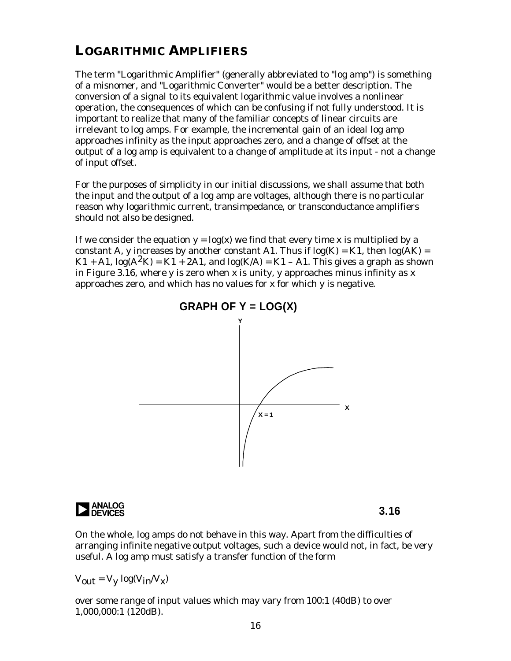# **LOGARITHMIC AMPLIFIERS**

The term "Logarithmic Amplifier" (generally abbreviated to "log amp") is something of a misnomer, and "Logarithmic Converter" would be a better description. The conversion of a signal to its equivalent logarithmic value involves a nonlinear operation, the consequences of which can be confusing if not fully understood. It is important to realize that many of the familiar concepts of linear circuits are irrelevant to log amps. For example, the incremental gain of an ideal log amp approaches infinity as the input approaches zero, and a change of offset at the output of a log amp is equivalent to a change of amplitude at its input - not a change of input offset.

For the purposes of simplicity in our initial discussions, we shall assume that both the input and the output of a log amp are voltages, although there is no particular reason why logarithmic current, transimpedance, or transconductance amplifiers should not also be designed.

If we consider the equation  $y = log(x)$  we find that every time x is multiplied by a constant A, y increases by another constant A1. Thus if  $log(K) = K1$ , then  $log(AK) =$  $K1 + A1$ ,  $log(A^2K) = K1 + 2A1$ , and  $log(K/A) = K1 - A1$ . This gives a graph as shown in Figure 3.16, where y is zero when x is unity, y approaches minus infinity as x approaches zero, and which has no values for x for which y is negative.



# **and Seconds** 2.16

On the whole, log amps do not behave in this way. Apart from the difficulties of arranging infinite negative output voltages, such a device would not, in fact, be very useful. A log amp must satisfy a transfer function of the form

 $V_{\text{out}} = V_y \log(V_{\text{in}}/V_x)$ 

over some range of input values which may vary from 100:1 (40dB) to over 1,000,000:1 (120dB).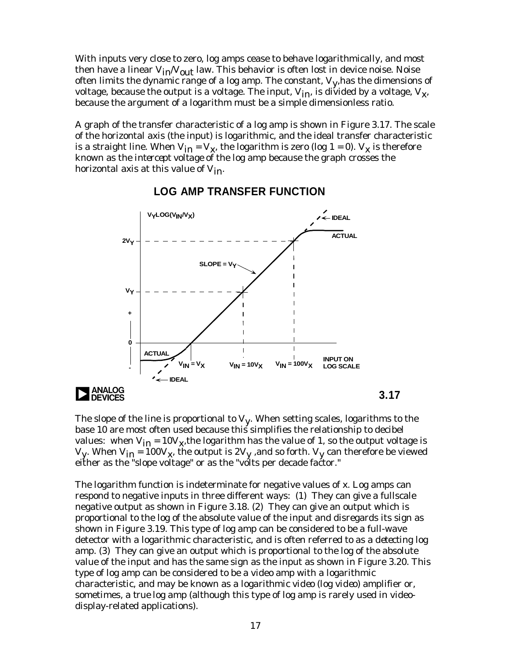With inputs very close to zero, log amps cease to behave logarithmically, and most then have a linear  $V_{in}/V_{out}$  law. This behavior is often lost in device noise. Noise often limits the dynamic range of a log amp. The constant,  $\mathrm{V}_{\mathbf{y}}$ ,has the dimensions of voltage, because the output is a voltage. The input,  $\rm V_{in}$ , is divided by a voltage,  $\rm V_{\rm X}$ , because the argument of a logarithm must be a simple dimensionless ratio.

A graph of the transfer characteristic of a log amp is shown in Figure 3.17. The scale of the horizontal axis (the input) is logarithmic, and the ideal transfer characteristic is a straight line. When  $V_{\text{in}} = V_{\textbf{x}}$ , the logarithm is zero (log 1 = 0).  $V_{\textbf{x}}$  is therefore known as the *intercept voltage* of the log amp because the graph crosses the horizontal axis at this value of  $V_{in}$ .



### **LOG AMP TRANSFER FUNCTION**

The slope of the line is proportional to  $\mathrm{V_{y}}.$  When setting scales, logarithms to the base 10 are most often used because this simplifies the relationship to decibel values:  $\text{ when } V_{\text{in}} = 10 V_{\text{X}}$ , the logarithm has the value of 1, so the output voltage is V<sub>y</sub>. When V<sub>in</sub> = 100V<sub>x</sub>, the output is 2V<sub>y</sub> ,and so forth. V<sub>y</sub> can therefore be viewed either as the "slope voltage" or as the "volts per decade factor."

The logarithm function is indeterminate for negative values of x. Log amps can respond to negative inputs in three different ways: (1) They can give a fullscale negative output as shown in Figure 3.18. (2) They can give an output which is proportional to the log of the absolute value of the input and disregards its sign as shown in Figure 3.19. This type of log amp can be considered to be a full-wave detector with a logarithmic characteristic, and is often referred to as a *detecting* log amp. (3) They can give an output which is proportional to the log of the absolute value of the input and has the same sign as the input as shown in Figure 3.20. This type of log amp can be considered to be a video amp with a logarithmic characteristic, and may be known as a *logarithmic video* (*log video*) amplifier or, sometimes, a *true log amp* (although this type of log amp is rarely used in videodisplay-related applications).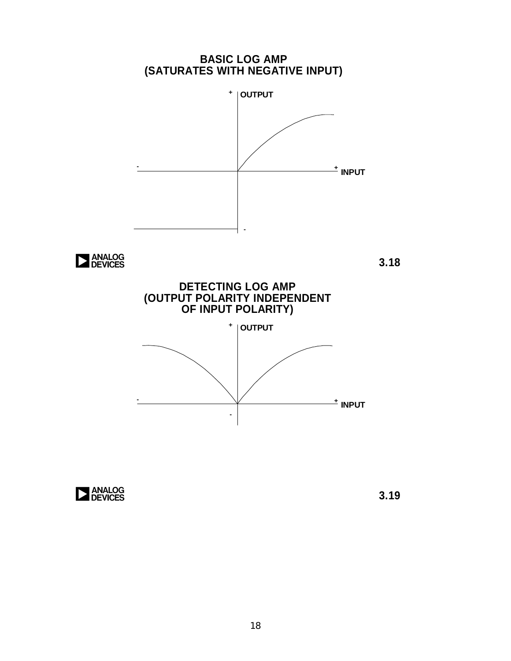

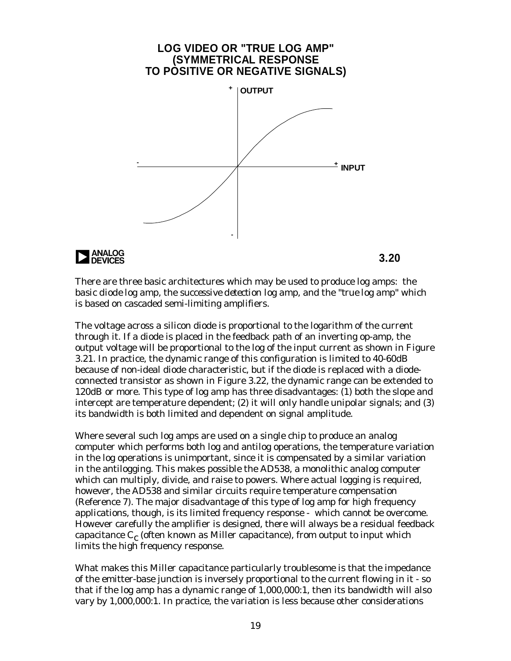



There are three basic architectures which may be used to produce log amps: the *basic diode log amp*, the *successive detection log amp*, and the *"true log amp"* which is based on cascaded semi-limiting amplifiers.

The voltage across a silicon diode is proportional to the logarithm of the current through it. If a diode is placed in the feedback path of an inverting op-amp, the output voltage will be proportional to the log of the input current as shown in Figure 3.21. In practice, the dynamic range of this configuration is limited to 40-60dB because of non-ideal diode characteristic, but if the diode is replaced with a diodeconnected transistor as shown in Figure 3.22, the dynamic range can be extended to 120dB or more. This type of log amp has three disadvantages: (1) both the slope and intercept are temperature dependent; (2) it will only handle unipolar signals; and (3) its bandwidth is both limited and dependent on signal amplitude.

Where several such log amps are used on a single chip to produce an analog computer which performs both log and antilog operations, the temperature variation in the log operations is unimportant, since it is compensated by a similar variation in the antilogging. This makes possible the AD538, a monolithic analog computer which can multiply, divide, and raise to powers. Where actual logging is required, however, the AD538 and similar circuits require temperature compensation (Reference 7). The major disadvantage of this type of log amp for high frequency applications, though, is its limited frequency response - which cannot be overcome. However carefully the amplifier is designed, there will always be a residual feedback capacitance  $\textsf{C}_\textsf{C}$  (often known as Miller capacitance), from output to input which limits the high frequency response.

What makes this Miller capacitance particularly troublesome is that the impedance of the emitter-base junction is inversely proportional to the current flowing in it - so that if the log amp has a dynamic range of 1,000,000:1, then its bandwidth will also vary by 1,000,000:1. In practice, the variation is less because other considerations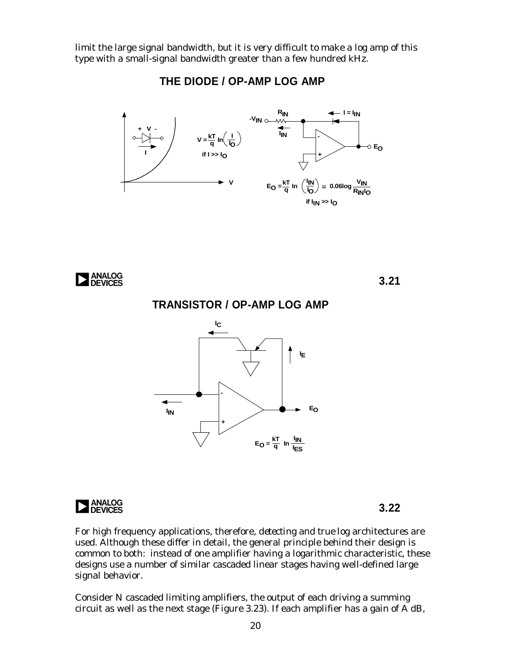limit the large signal bandwidth, but it is very difficult to make a log amp of this type with a small-signal bandwidth greater than a few hundred kHz.

### **THE DIODE / OP-AMP LOG AMP**



**and Secure 2018** and 3.21 and 3.21 and 3.21 and 3.21 and 3.21 and 3.21 and 3.21 and 3.21 and 3.21 and 3.21 and 3.21 and 3.21 and 3.21 and 3.21 and 3.21 and 3.21 and 3.21 and 3.21 and 3.21 and 3.21 and 3.21 and 3.21 and 3.







For high frequency applications, therefore, *detecting* and *true log* architectures are used. Although these differ in detail, the general principle behind their design is common to both: instead of one amplifier having a logarithmic characteristic, these designs use a number of similar cascaded linear stages having well-defined large signal behavior.

Consider N cascaded limiting amplifiers, the output of each driving a summing circuit as well as the next stage (Figure 3.23). If each amplifier has a gain of A dB,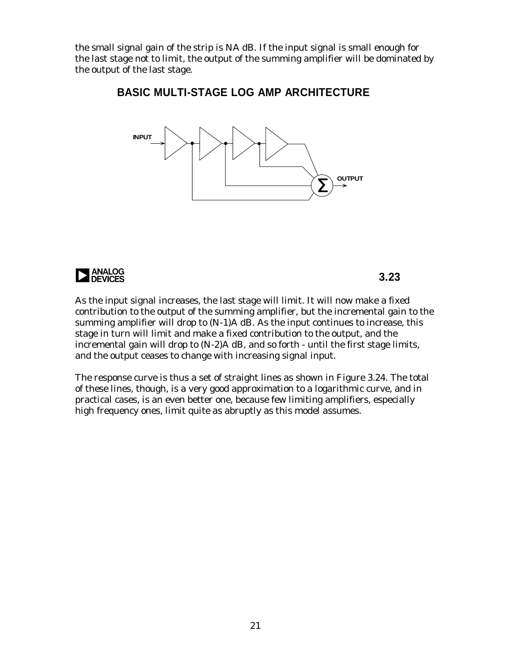the small signal gain of the strip is NA dB. If the input signal is small enough for the last stage not to limit, the output of the summing amplifier will be dominated by the output of the last stage.

### **BASIC MULTI-STAGE LOG AMP ARCHITECTURE**





As the input signal increases, the last stage will limit. It will now make a fixed contribution to the output of the summing amplifier, but the incremental gain to the summing amplifier will drop to (N-1)A dB. As the input continues to increase, this stage in turn will limit and make a fixed contribution to the output, and the incremental gain will drop to (N-2)A dB, and so forth - until the first stage limits, and the output ceases to change with increasing signal input.

The response curve is thus a set of straight lines as shown in Figure 3.24. The total of these lines, though, is a very good approximation to a logarithmic curve, and in practical cases, is an even better one, because few limiting amplifiers, especially high frequency ones, limit quite as abruptly as this model assumes.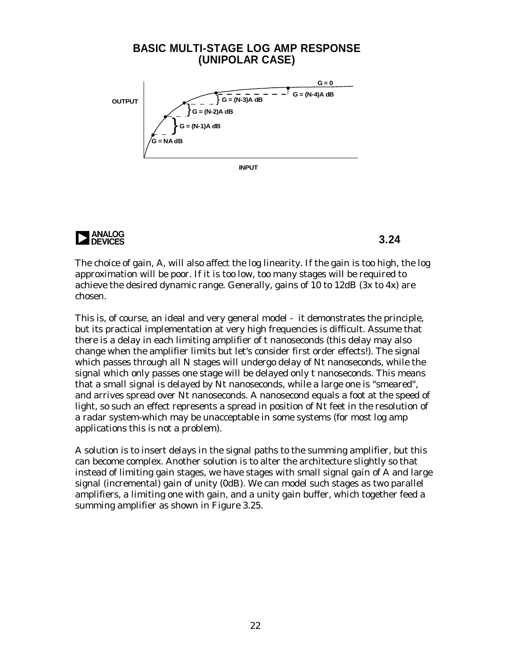### **BASIC MULTI-STAGE LOG AMP RESPONSE (UNIPOLAR CASE)**





The choice of gain, A, will also affect the log linearity. If the gain is too high, the log approximation will be poor. If it is too low, too many stages will be required to achieve the desired dynamic range. Generally, gains of 10 to 12dB (3x to 4x) are chosen.

This is, of course, an ideal and very general model - it demonstrates the principle, but its practical implementation at very high frequencies is difficult. Assume that there is a delay in each limiting amplifier of t nanoseconds (this delay may also change when the amplifier limits but let's consider first order effects!). The signal which passes through all N stages will undergo delay of Nt nanoseconds, while the signal which only passes one stage will be delayed only t nanoseconds. This means that a small signal is delayed by Nt nanoseconds, while a large one is "smeared", and arrives spread over Nt nanoseconds. A nanosecond equals a foot at the speed of light, so such an effect represents a spread in position of Nt feet in the resolution of a radar system-which may be unacceptable in some systems (for most log amp applications this is not a problem).

A solution is to insert delays in the signal paths to the summing amplifier, but this can become complex. Another solution is to alter the architecture slightly so that instead of limiting gain stages, we have stages with small signal gain of A and large signal (incremental) gain of unity (0dB). We can model such stages as two parallel amplifiers, a limiting one with gain, and a unity gain buffer, which together feed a summing amplifier as shown in Figure 3.25.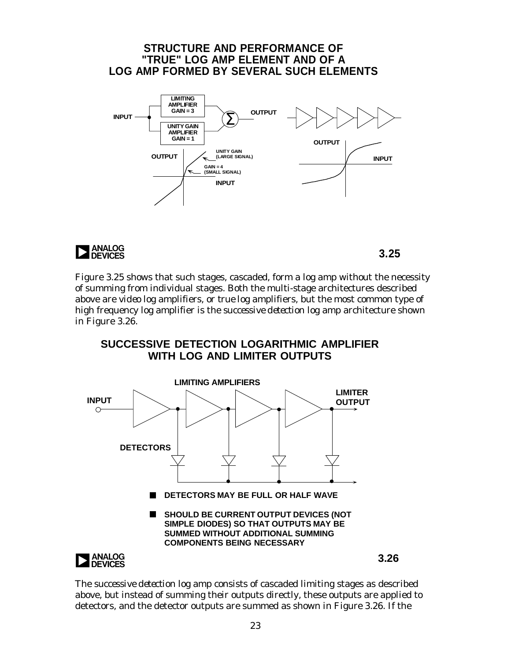### **STRUCTURE AND PERFORMANCE OF "TRUE" LOG AMP ELEMENT AND OF A LOG AMP FORMED BY SEVERAL SUCH ELEMENTS**





Figure 3.25 shows that such stages, cascaded, form a log amp without the necessity of summing from individual stages. Both the multi-stage architectures described above are *video* log amplifiers, or *true log* amplifiers, but the most common type of high frequency log amplifier is the *successive detection* log amp architecture shown in Figure 3.26.

### **SUCCESSIVE DETECTION LOGARITHMIC AMPLIFIER WITH LOG AND LIMITER OUTPUTS**



The *successive detection* log amp consists of cascaded limiting stages as described above, but instead of summing their outputs directly, these outputs are applied to detectors, and the detector outputs are summed as shown in Figure 3.26. If the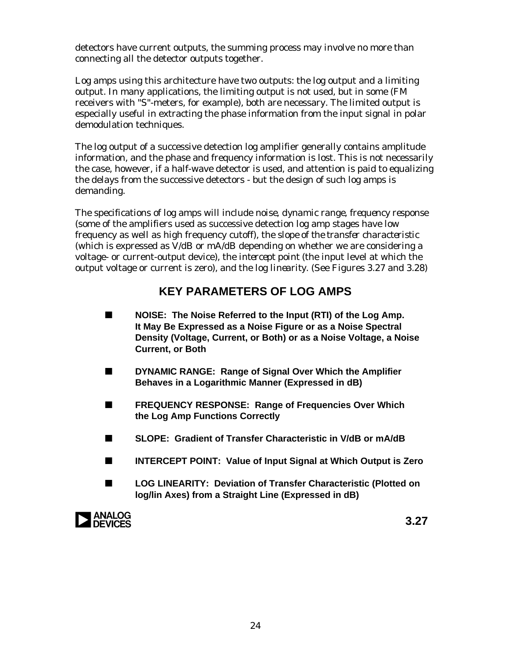detectors have current outputs, the summing process may involve no more than connecting all the detector outputs together.

Log amps using this architecture have two outputs: the log output and a limiting output. In many applications, the limiting output is not used, but in some (FM receivers with "S"-meters, for example), both are necessary. The limited output is especially useful in extracting the phase information from the input signal in polar demodulation techniques.

The log output of a successive detection log amplifier generally contains amplitude information, and the phase and frequency information is lost. This is not necessarily the case, however, if a half-wave detector is used, and attention is paid to equalizing the delays from the successive detectors - but the design of such log amps is demanding.

The specifications of log amps will include *noise*, *dynamic range*, *frequency response* (some of the amplifiers used as successive detection log amp stages have low frequency as well as high frequency cutoff), the *slope of the transfer characteristic* (which is expressed as V/dB or mA/dB depending on whether we are considering a voltage- or current-output device), the *intercept point* (the input level at which the output voltage or current is zero), and the *log linearity*. (See Figures 3.27 and 3.28)

# **KEY PARAMETERS OF LOG AMPS**

- NOISE: The Noise Referred to the Input (RTI) of the Log Amp. **It May Be Expressed as a Noise Figure or as a Noise Spectral Density (Voltage, Current, or Both) or as a Noise Voltage, a Noise Current, or Both**
- **Netcherry DYNAMIC RANGE: Range of Signal Over Which the Amplifier Behaves in a Logarithmic Manner (Expressed in dB)**
- **N** FREQUENCY RESPONSE: Range of Frequencies Over Which **the Log Amp Functions Correctly**
- n **SLOPE: Gradient of Transfer Characteristic in V/dB or mA/dB**
- **N INTERCEPT POINT: Value of Input Signal at Which Output is Zero**
- LOG LINEARITY: Deviation of Transfer Characteristic (Plotted on **log/lin Axes) from a Straight Line (Expressed in dB)**



**3.27**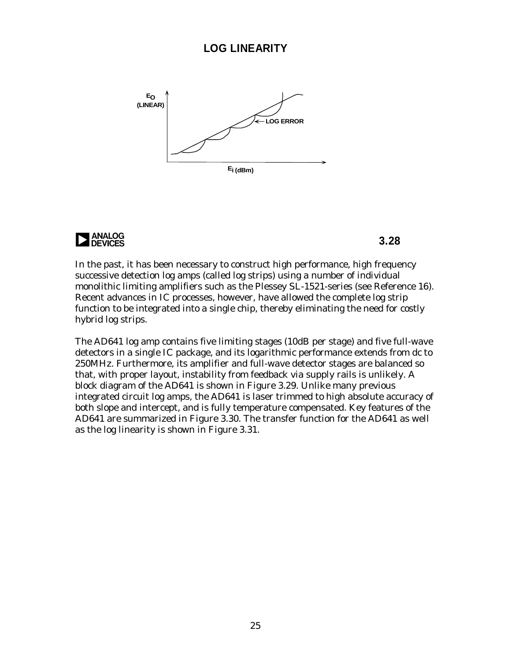### **LOG LINEARITY**





**I**<br>A **SALES**<br>I DEVICES **3.28** 

In the past, it has been necessary to construct high performance, high frequency successive detection log amps (called log strips) using a number of individual monolithic limiting amplifiers such as the Plessey SL-1521-series (see Reference 16). Recent advances in IC processes, however, have allowed the complete log strip function to be integrated into a single chip, thereby eliminating the need for costly hybrid log strips.

The AD641 log amp contains five limiting stages (10dB per stage) and five full-wave detectors in a single IC package, and its logarithmic performance extends from dc to 250MHz. Furthermore, its amplifier and full-wave detector stages are balanced so that, with proper layout, instability from feedback via supply rails is unlikely. A block diagram of the AD641 is shown in Figure 3.29. Unlike many previous integrated circuit log amps, the AD641 is laser trimmed to high absolute accuracy of both slope and intercept, and is fully temperature compensated. Key features of the AD641 are summarized in Figure 3.30. The transfer function for the AD641 as well as the log linearity is shown in Figure 3.31.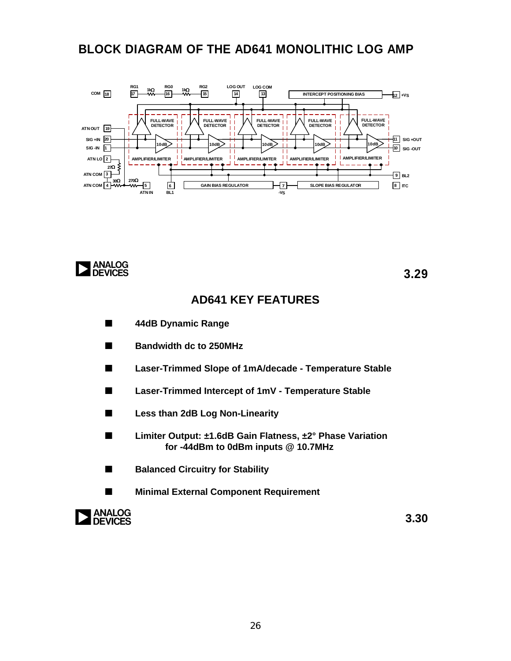# **BLOCK DIAGRAM OF THE AD641 MONOLITHIC LOG AMP**





# **AD641 KEY FEATURES**

- $\blacksquare$  44dB Dynamic Range
- **N** Bandwidth dc to 250MHz
- **■** Laser-Trimmed Slope of 1mA/decade Temperature Stable
- Laser-Trimmed Intercept of 1mV Temperature Stable
- **n** Less than 2dB Log Non-Linearity
- Limiter Output: ±1.6dB Gain Flatness, ±2° Phase Variation **for -44dBm to 0dBm inputs @ 10.7MHz**
- $\blacksquare$  Balanced Circuitry for Stability
- Minimal External Component Requirement



**3.30**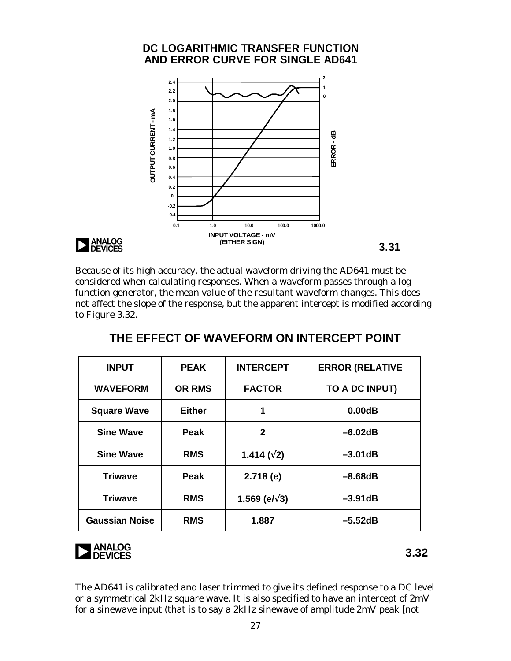### **DC LOGARITHMIC TRANSFER FUNCTION AND ERROR CURVE FOR SINGLE AD641**





Because of its high accuracy, the actual waveform driving the AD641 must be considered when calculating responses. When a waveform passes through a log function generator, the mean value of the resultant waveform changes. This does not affect the slope of the response, but the apparent intercept is modified according to Figure 3.32.

| <b>INPUT</b>          | <b>PEAK</b>   | <b>INTERCEPT</b>       | <b>ERROR (RELATIVE</b> |
|-----------------------|---------------|------------------------|------------------------|
| <b>WAVEFORM</b>       | <b>OR RMS</b> | <b>FACTOR</b>          | TO A DC INPUT)         |
| <b>Square Wave</b>    | <b>Either</b> | 1                      | 0.00dB                 |
| <b>Sine Wave</b>      | Peak          | $\mathbf{2}$           | $-6.02dB$              |
| <b>Sine Wave</b>      | <b>RMS</b>    | 1.414 $(\sqrt{2})$     | $-3.01dB$              |
| <b>Triwave</b>        | Peak          | $2.718$ (e)            | $-8.68dB$              |
| <b>Triwave</b>        | <b>RMS</b>    | 1.569 (e/ $\sqrt{3}$ ) | $-3.91dB$              |
| <b>Gaussian Noise</b> | <b>RMS</b>    | 1.887                  | $-5.52dB$              |

# **THE EFFECT OF WAVEFORM ON INTERCEPT POINT**

# **analog** 3.32

The AD641 is calibrated and laser trimmed to give its defined response to a DC level or a symmetrical 2kHz square wave. It is also specified to have an intercept of 2mV for a sinewave input (that is to say a 2kHz sinewave of amplitude 2mV peak [not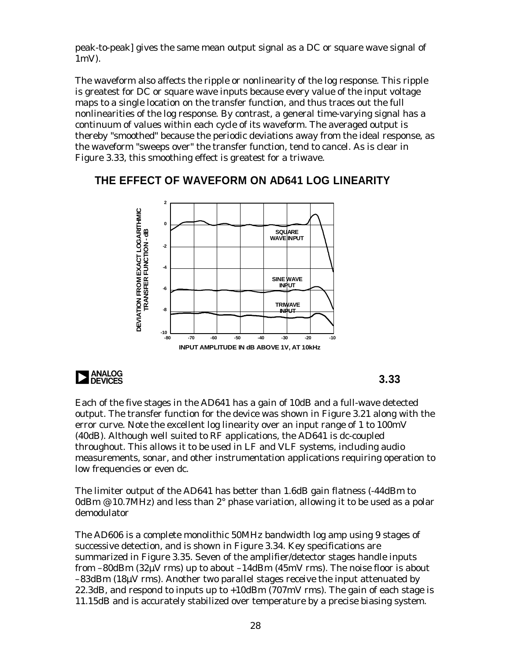peak-to-peak] gives the same mean output signal as a DC or square wave signal of 1mV).

The waveform also affects the ripple or nonlinearity of the log response. This ripple is greatest for DC or square wave inputs because every value of the input voltage maps to a single location on the transfer function, and thus traces out the full nonlinearities of the log response. By contrast, a general time-varying signal has a continuum of values within each cycle of its waveform. The averaged output is thereby "smoothed" because the periodic deviations away from the ideal response, as the waveform "sweeps over" the transfer function, tend to cancel. As is clear in Figure 3.33, this smoothing effect is greatest for a triwave.

### **2 0 -2 -4 -6 -8 -10 -80 -70 -60 -50 -40 -30 -20 -10 SQUARE WAVE INPUT SINE WAVE INPUT TRIWAVE INPUT DEVIATIO N FR O M EX AC T LO G A RIT H MIC TRANSFER FU NCTIO N - dB INPUT AMPLITUDE IN dB ABOVE 1V, AT 10kHz**

### **THE EFFECT OF WAVEFORM ON AD641 LOG LINEARITY**



Each of the five stages in the AD641 has a gain of 10dB and a full-wave detected output. The transfer function for the device was shown in Figure 3.21 along with the error curve. Note the excellent log linearity over an input range of 1 to 100mV (40dB). Although well suited to RF applications, the AD641 is dc-coupled throughout. This allows it to be used in LF and VLF systems, including audio measurements, sonar, and other instrumentation applications requiring operation to low frequencies or even dc.

The limiter output of the AD641 has better than 1.6dB gain flatness (-44dBm to 0dBm @ 10.7MHz) and less than 2° phase variation, allowing it to be used as a polar demodulator

The AD606 is a complete monolithic 50MHz bandwidth log amp using 9 stages of successive detection, and is shown in Figure 3.34. Key specifications are summarized in Figure 3.35. Seven of the amplifier/detector stages handle inputs from  $-80$ dBm (32µV rms) up to about  $-14$ dBm (45mV rms). The noise floor is about  $-83$ dBm (18 $\mu$ V rms). Another two parallel stages receive the input attenuated by 22.3dB, and respond to inputs up to  $+10$ dBm (707mV rms). The gain of each stage is 11.15dB and is accurately stabilized over temperature by a precise biasing system.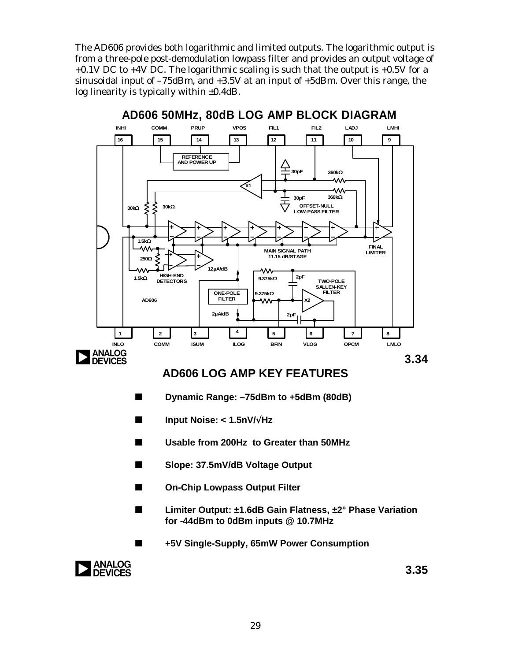The AD606 provides both logarithmic and limited outputs. The logarithmic output is from a three-pole post-demodulation lowpass filter and provides an output voltage of  $+0.1V$  DC to  $+4V$  DC. The logarithmic scaling is such that the output is  $+0.5V$  for a sinusoidal input of –75dBm, and +3.5V at an input of +5dBm. Over this range, the log linearity is typically within  $\pm 0.4$ dB.

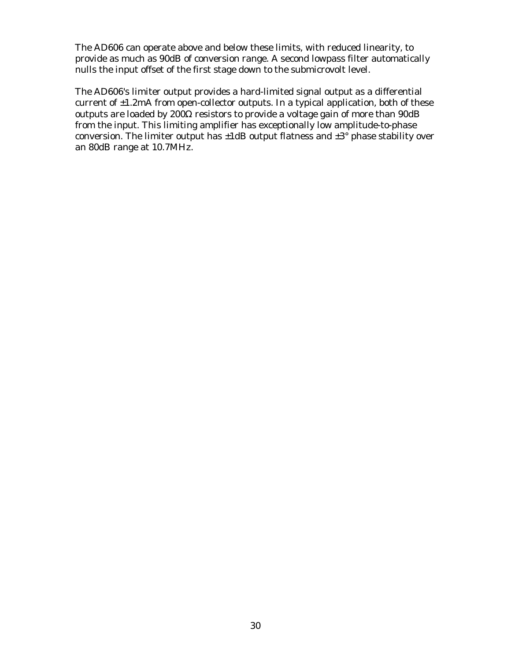The AD606 can operate above and below these limits, with reduced linearity, to provide as much as 90dB of conversion range. A second lowpass filter automatically nulls the input offset of the first stage down to the submicrovolt level.

The AD606's limiter output provides a hard-limited signal output as a differential current of  $\pm 1.2$ mA from open-collector outputs. In a typical application, both of these outputs are loaded by 200 $\Omega$  resistors to provide a voltage gain of more than 90dB from the input. This limiting amplifier has exceptionally low amplitude-to-phase conversion. The limiter output has  $\pm 1$ dB output flatness and  $\pm 3^{\circ}$  phase stability over an 80dB range at 10.7MHz.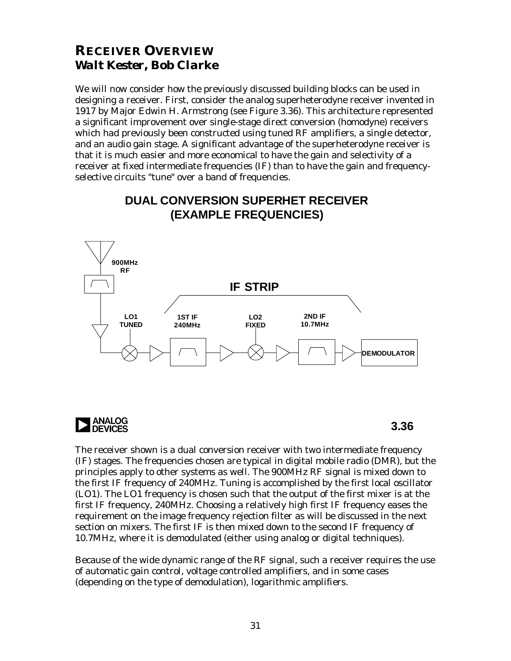# **RECEIVER OVERVIEW** *Walt Kester, Bob Clarke*

We will now consider how the previously discussed building blocks can be used in designing a receiver. First, consider the analog superheterodyne receiver invented in 1917 by Major Edwin H. Armstrong (see Figure 3.36). This architecture represented a significant improvement over single-stage direct conversion (homodyne) receivers which had previously been constructed using tuned RF amplifiers, a single detector, and an audio gain stage. A significant advantage of the superheterodyne receiver is that it is much easier and more economical to have the gain and selectivity of a receiver at fixed intermediate frequencies (IF) than to have the gain and frequencyselective circuits "tune" over a band of frequencies.

# **DUAL CONVERSION SUPERHET RECEIVER (EXAMPLE FREQUENCIES)**





**3.36**

The receiver shown is a dual conversion receiver with two intermediate frequency (IF) stages. The frequencies chosen are typical in digital mobile radio (DMR), but the principles apply to other systems as well. The 900MHz RF signal is mixed down to the first IF frequency of 240MHz. Tuning is accomplished by the first local oscillator (LO1). The LO1 frequency is chosen such that the output of the first mixer is at the first IF frequency, 240MHz. Choosing a relatively high first IF frequency eases the requirement on the image frequency rejection filter as will be discussed in the next section on mixers. The first IF is then mixed down to the second IF frequency of 10.7MHz, where it is demodulated (either using analog or digital techniques).

Because of the wide dynamic range of the RF signal, such a receiver requires the use of automatic gain control, voltage controlled amplifiers, and in some cases (depending on the type of demodulation), logarithmic amplifiers.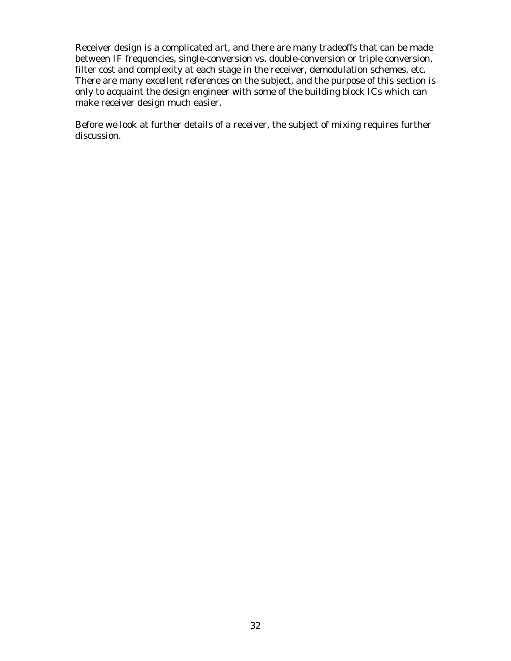Receiver design is a complicated art, and there are many tradeoffs that can be made between IF frequencies, single-conversion vs. double-conversion or triple conversion, filter cost and complexity at each stage in the receiver, demodulation schemes, etc. There are many excellent references on the subject, and the purpose of this section is only to acquaint the design engineer with some of the building block ICs which can make receiver design much easier.

Before we look at further details of a receiver, the subject of *mixing* requires further discussion.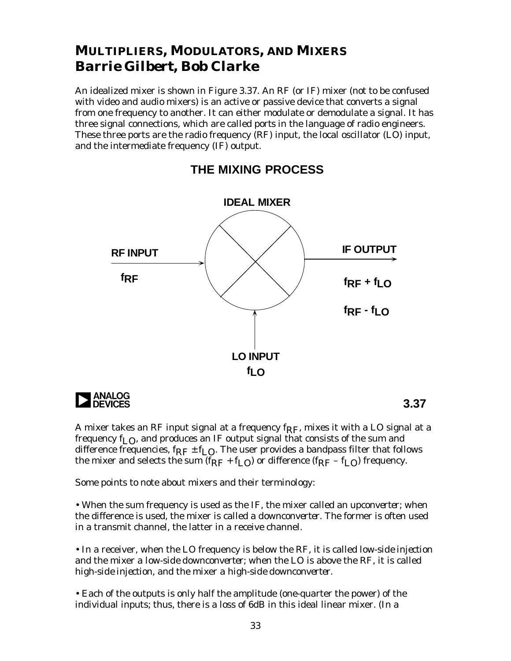# **MULTIPLIERS, MODULATORS, AND MIXERS** *Barrie Gilbert, Bob Clarke*

An idealized mixer is shown in Figure 3.37. An RF (or IF) mixer (not to be confused with video and audio mixers) is an active or passive device that converts a signal from one frequency to another. It can either modulate or demodulate a signal. It has three signal connections, which are called *ports* in the language of radio engineers. These three ports are the radio frequency (RF) input, the local oscillator (LO) input, and the intermediate frequency (IF) output.



# **THE MIXING PROCESS**

A mixer takes an RF input signal at a frequency  $f_{RF}$ , mixes it with a LO signal at a frequency  $f_{LO}$ , and produces an IF output signal that consists of the sum and difference frequencies,  $f_{RF}$  ±  $f_{LO}$ . The user provides a bandpass filter that follows the mixer and selects the sum  $(f_{RF} + f_{LO})$  or difference  $(f_{RF} - f_{LO})$  frequency.

Some points to note about mixers and their terminology:

• When the sum frequency is used as the IF, the mixer called an *upconverter*; when the difference is used, the mixer is called a *downconverter*. The former is often used in a transmit channel, the latter in a receive channel.

• In a receiver, when the LO frequency is below the RF, it is called *low-side injection* and the mixer *a low-side downconverter*; when the LO is above the RF, it is called *high-side injection*, and the mixer *a high-side downconverter*.

• Each of the outputs is only half the amplitude (one-quarter the power) of the individual inputs; thus, there is a loss of 6dB in this ideal linear mixer. (In a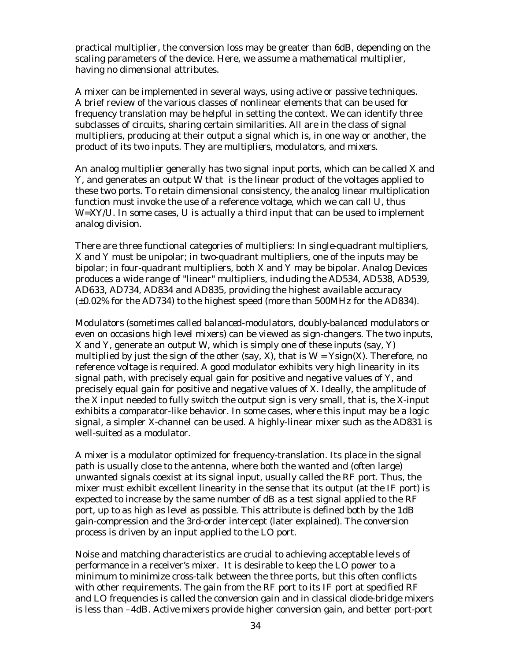practical multiplier, the conversion loss may be greater than 6dB, depending on the scaling parameters of the device. Here, we assume a *mathematical* multiplier, having no dimensional attributes.

A mixer can be implemented in several ways, using active or passive techniques. A brief review of the various classes of nonlinear elements that can be used for frequency translation may be helpful in setting the context. We can identify three subclasses of circuits, sharing certain similarities. All are in the class of signal multipliers, producing at their output a signal which is, in one way or another, the product of its two inputs. They are *multipliers*, *modulators*, and *mixers*.

An *analog multiplier* generally has two signal input ports, which can be called X and Y, and generates an output W that is the linear product of the voltages applied to these two ports. To retain dimensional consistency, the analog linear multiplication function must invoke the use of a reference voltage, which we can call U, thus W=XY/U. In some cases, U is actually a third input that can be used to implement analog division.

There are three functional categories of multipliers: In *single-quadrant* multipliers, X and Y must be unipolar; in *two-quadrant* multipliers, one of the inputs may be bipolar; in *four-quadrant* multipliers, both X and Y may be bipolar. Analog Devices produces a wide range of "linear" multipliers, including the AD534, AD538, AD539, AD633, AD734, AD834 and AD835, providing the highest available accuracy (±0.02% for the AD734) to the highest speed (more than 500MHz for the AD834).

*Modulators* (sometimes called *balanced-modulators*, *doubly-balanced modulators* or even on occasions *high level mixers*) can be viewed as *sign-changers*. The two inputs, X and Y, generate an output W, which is simply one of these inputs (say, Y) multiplied by just the sign of the other (say, X), that is  $W = Ysign(X)$ . Therefore, no reference voltage is required. A good modulator exhibits very high linearity in its signal path, with precisely equal gain for positive and negative values of Y, and precisely equal gain for positive and negative values of X. Ideally, the amplitude of the X input needed to fully switch the output sign is very small, that is, the X-input exhibits a comparator-like behavior. In some cases, where this input may be a logic signal, a simpler X-channel can be used. A highly-linear mixer such as the AD831 is well-suited as a modulator.

A *mixer* is a modulator optimized for frequency-translation. Its place in the signal path is usually close to the antenna, where both the wanted and (often large) unwanted signals coexist at its signal input, usually called the *RF port*. Thus, the mixer must exhibit excellent linearity in the sense that its output (at the IF port) is expected to increase by the same number of dB as a test signal applied to the RF port, up to as high as level as possible. This attribute is defined both by the 1dB gain-compression and the 3rd-order intercept (later explained). The conversion process is driven by an input applied to the LO port.

Noise and matching characteristics are crucial to achieving acceptable levels of performance in a receiver's mixer. It is desirable to keep the LO power to a minimum to minimize cross-talk between the three ports, but this often conflicts with other requirements. The gain from the RF port to its IF port at specified RF and LO frequencies is called the *conversion gain* and in classical diode-bridge mixers is less than –4dB. *Active mixers* provide higher conversion gain, and better port-port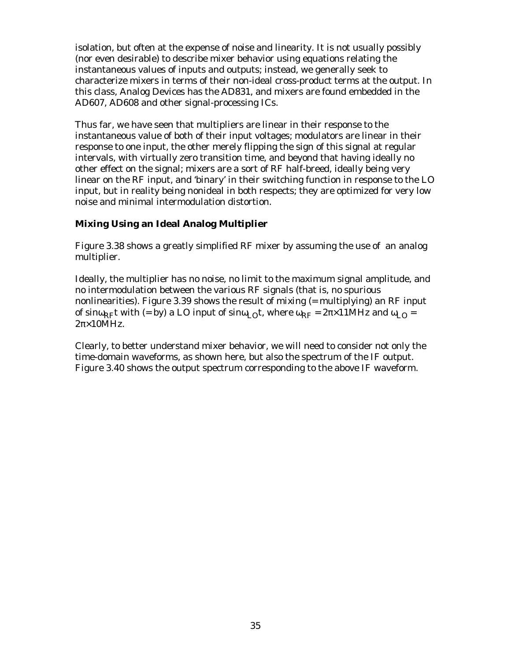isolation, but often at the expense of noise and linearity. It is not usually possibly (nor even desirable) to describe mixer behavior using equations relating the instantaneous values of inputs and outputs; instead, we generally seek to characterize mixers in terms of their non-ideal cross-product terms at the output. In this class, Analog Devices has the AD831, and mixers are found embedded in the AD607, AD608 and other signal-processing ICs.

Thus far, we have seen that multipliers are linear in their response to the instantaneous value of both of their input voltages; modulators are linear in their response to one input, the other merely flipping the sign of this signal at regular intervals, with virtually zero transition time, and beyond that having ideally no other effect on the signal; mixers are a sort of RF half-breed, ideally being very linear on the RF input, and 'binary' in their switching function in response to the LO input, but in reality being nonideal in both respects; they are optimized for very low noise and minimal intermodulation distortion.

### **Mixing Using an Ideal Analog Multiplier**

Figure 3.38 shows a greatly simplified RF mixer by assuming the use of an analog multiplier.

Ideally, the multiplier has no noise, no limit to the maximum signal amplitude, and no intermodulation between the various RF signals (that is, no spurious nonlinearities). Figure 3.39 shows the result of *mixing* (= multiplying) an RF input of sin $\omega_{\text{RF}}$ t with (= by) a LO input of sin $\omega_{\text{LO}}$ , where  $\omega_{\text{RF}} = 2\pi \times 11$ MHz and  $\omega_{\text{LO}} =$  $2\pi\times10$ MHz.

Clearly, to better understand mixer behavior, we will need to consider not only the time-domain waveforms, as shown here, but also the spectrum of the IF output. Figure 3.40 shows the output spectrum corresponding to the above IF waveform.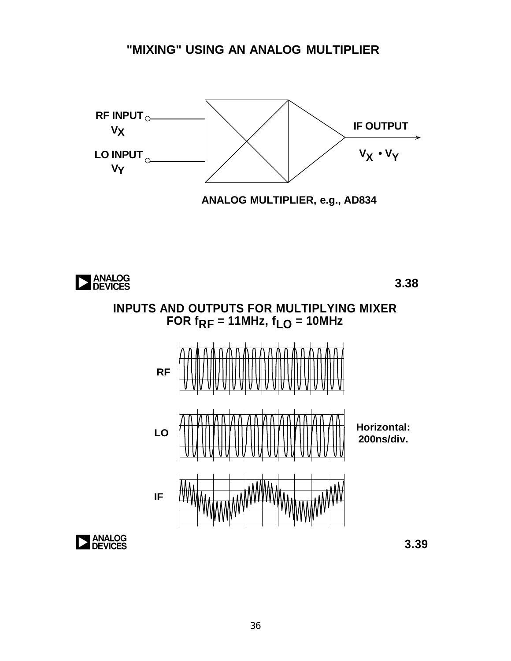**"MIXING" USING AN ANALOG MULTIPLIER**

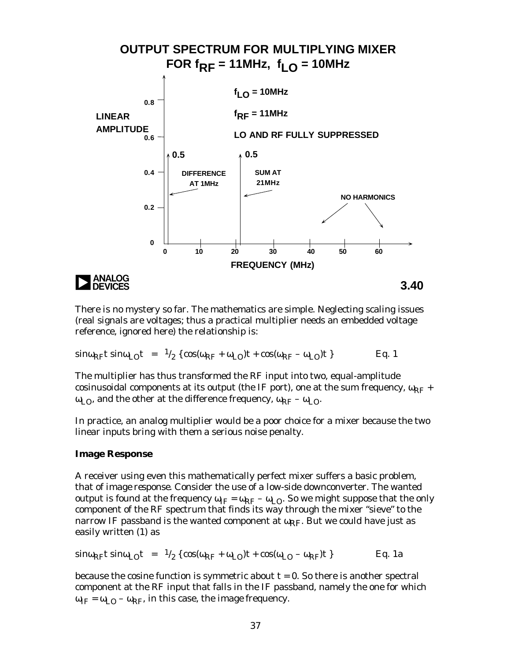

There is no mystery so far. The mathematics are simple. Neglecting scaling issues (real signals are voltages; thus a practical multiplier needs an embedded voltage reference, ignored here) the relationship is:

 $\sin\omega_{RF}t \sin\omega_{LO}t = 1/2 \{ \cos(\omega_{RF} + \omega_{LO})t + \cos(\omega_{RF} - \omega_{LO})t \}$  Eq. 1

The multiplier has thus transformed the RF input into two, equal-amplitude cosinusoidal components at its output (the IF port), one at the sum frequency,  $\omega_{\text{RF}}$  + ω<sub>LO</sub>, and the other at the difference frequency,  $ω_{RF} - ω_{LQ}$ .

In practice, an analog multiplier would be a poor choice for a mixer because the two linear inputs bring with them a serious noise penalty.

### **Image Response**

A receiver using even this mathematically perfect mixer suffers a basic problem, that of *image response*. Consider the use of a low-side downconverter. The wanted output is found at the frequency  $\omega_{IF} = \omega_{RF} - \omega_{LO}$ . So we might suppose that the only component of the RF spectrum that finds its way through the mixer "sieve" to the narrow IF passband is the wanted component at  $\omega_{RF}$ . But we could have just as easily written (1) as

 $\sin\omega_{RF}t \sin\omega_{LO}t = \frac{1}{2} \left\{ \cos(\omega_{RF} + \omega_{LO})t + \cos(\omega_{LO} - \omega_{RF})t \right\}$  Eq. 1a

because the cosine function is symmetric about  $t = 0$ . So there is another spectral component at the RF input that falls in the IF passband, namely the one for which  $\omega_{IF} = \omega_{LO} - \omega_{RF}$ , in this case, the *image* frequency.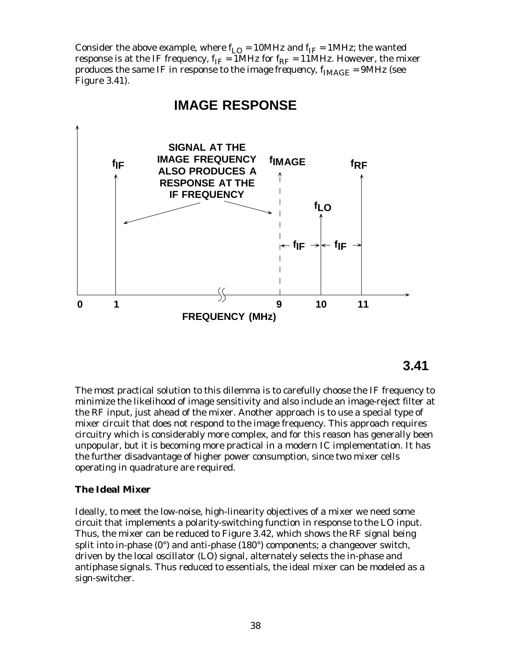Consider the above example, where  $f_{LO} = 10 MHz$  and  $f_{IF} = 1 MHz$ ; the wanted response is at the IF frequency,  $f_{IF} = 1$ MHz for  $f_{RF} = 11$ MHz. However, the mixer produces the same IF in response to the *image frequency*, f IMAGE = 9MHz (see Figure 3.41).



### **IMAGE RESPONSE**

### **3.41**

The most practical solution to this dilemma is to carefully choose the IF frequency to minimize the likelihood of image sensitivity and also include an image-reject filter at the RF input, just ahead of the mixer. Another approach is to use a special type of mixer circuit that does not respond to the image frequency. This approach requires circuitry which is considerably more complex, and for this reason has generally been unpopular, but it is becoming more practical in a modern IC implementation. It has the further disadvantage of higher power consumption, since two mixer cells operating in quadrature are required.

### **The Ideal Mixer**

Ideally, to meet the low-noise, high-linearity objectives of a mixer we need some circuit that implements a polarity-switching function in response to the LO input. Thus, the mixer can be reduced to Figure 3.42, which shows the RF signal being split into in-phase  $(0^{\circ})$  and anti-phase  $(180^{\circ})$  components; a changeover switch, driven by the local oscillator (LO) signal, alternately selects the in-phase and antiphase signals. Thus reduced to essentials, the ideal mixer can be modeled as a sign-switcher.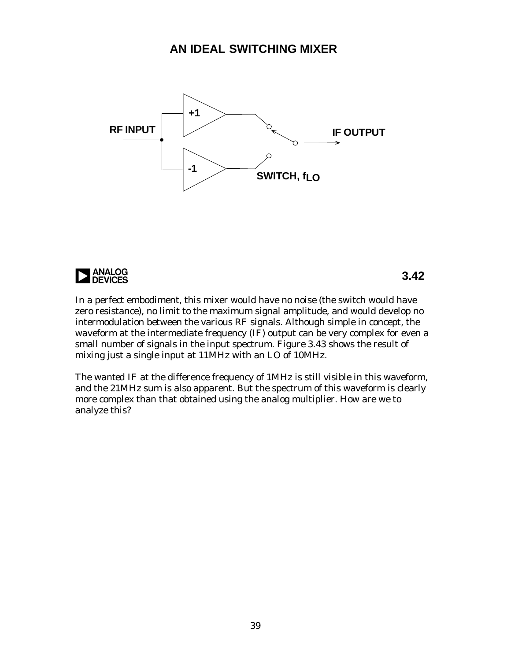



**3.42**

In a perfect embodiment, this mixer would have no noise (the switch would have zero resistance), no limit to the maximum signal amplitude, and would develop no intermodulation between the various RF signals. Although simple in concept, the waveform at the intermediate frequency (IF) output can be very complex for even a small number of signals in the input spectrum. Figure 3.43 shows the result of *mixing* just a single input at 11MHz with an LO of 10MHz.

The *wanted* IF at the difference frequency of 1MHz is still visible in this waveform, and the 21MHz sum is also apparent. But the spectrum of this waveform is clearly more complex than that obtained using the analog multiplier. How are we to analyze this?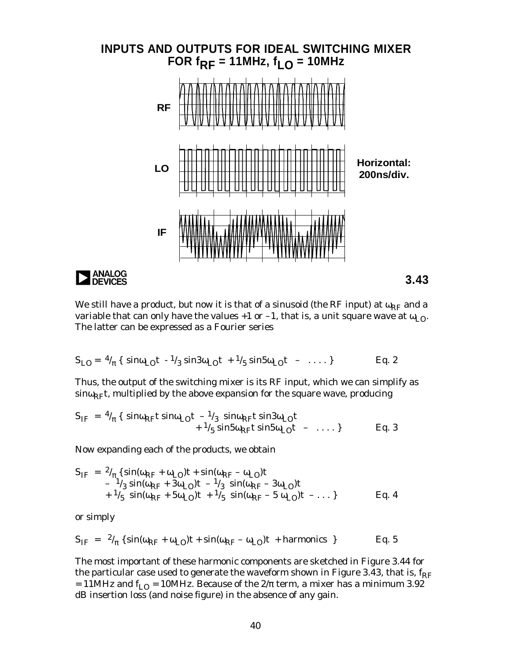

We still have a product, but now it is that of a sinusoid (the RF input) at  $\omega_{\text{RF}}$  and a variable that can only have the values +1 or -1, that is, a unit square wave at  $\omega_{\text{LO}}$ . The latter can be expressed as a Fourier series

$$
S_{LO} = \frac{4}{\pi} {\sin \omega_{LO} t} - \frac{1}{3} \sin 3\omega_{LO} t + \frac{1}{5} \sin 5\omega_{LO} t - \dots
$$
 Eq. 2

Thus, the output of the switching mixer is its RF input, which we can simplify as  $\sin\omega_{RF}$ t, multiplied by the above expansion for the square wave, producing

$$
S_{IF} = \frac{4}{\pi} \{ \sin \omega_{RF} t \sin \omega_{LO} t - \frac{1}{3} \sin \omega_{RF} t \sin 3\omega_{LO} t + \frac{1}{5} \sin 5\omega_{RF} t \sin 5\omega_{LO} t - \dots \}
$$
 Eq. 3

Now expanding each of the products, we obtain

$$
S_{IF} = \frac{2}{\pi} \{ \sin(\omega_{RF} + \omega_{LO})t + \sin(\omega_{RF} - \omega_{LO})t - \frac{1}{3} \sin(\omega_{RF} + 3\omega_{LO})t - \frac{1}{3} \sin(\omega_{RF} - 3\omega_{LO})t + \frac{1}{5} \sin(\omega_{RF} + 5\omega_{LO})t + \frac{1}{5} \sin(\omega_{RF} - 5\omega_{LO})t - \dots \}
$$
 Eq. 4

or simply

$$
S_{IF} = \frac{2}{\pi} \left\{ \sin(\omega_{RF} + \omega_{LO})t + \sin(\omega_{RF} - \omega_{LO})t + harmonics \right\} \qquad Eq. 5
$$

The most important of these harmonic components are sketched in Figure 3.44 for the particular case used to generate the waveform shown in Figure 3.43, that is,  $\rm{f_{RF}}$ = 11MHz and  $f_{LO}$  = 10MHz. Because of the  $2/\pi$  term, a mixer has a minimum 3.92 dB insertion loss (and noise figure) in the absence of any gain.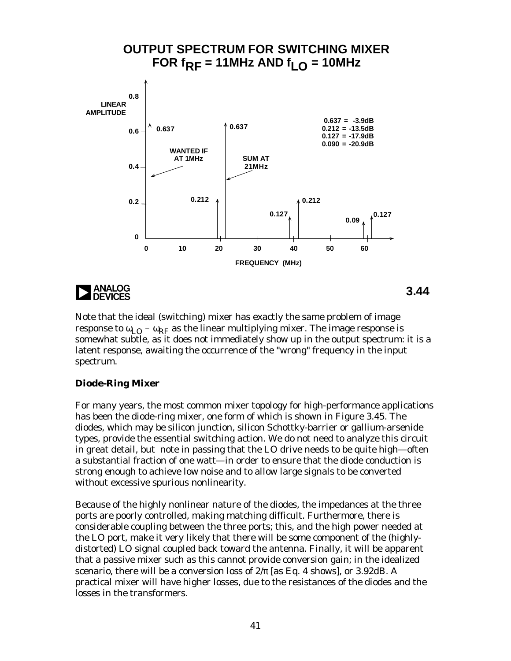

Note that the ideal (switching) mixer has exactly the same problem of image response to  $\omega_{\text{LO}}$  –  $\omega_{\text{RF}}$  as the linear multiplying mixer. The image response is somewhat subtle, as it does not immediately show up in the output spectrum: it is a latent response, awaiting the occurrence of the "wrong" frequency in the input spectrum.

### **Diode-Ring Mixer**

For many years, the most common mixer topology for high-performance applications has been the diode-ring mixer, one form of which is shown in Figure 3.45. The diodes, which may be silicon junction, silicon Schottky-barrier or gallium-arsenide types, provide the essential switching action. We do not need to analyze this circuit in great detail, but note in passing that the LO drive needs to be quite high—often a substantial fraction of one watt—in order to ensure that the diode conduction is strong enough to achieve low noise and to allow large signals to be converted without excessive spurious nonlinearity.

Because of the highly nonlinear nature of the diodes, the impedances at the three ports are poorly controlled, making matching difficult. Furthermore, there is considerable coupling between the three ports; this, and the high power needed at the LO port, make it very likely that there will be some component of the (highlydistorted) LO signal coupled back toward the antenna. Finally, it will be apparent that a passive mixer such as this cannot provide conversion gain; in the idealized scenario, there will be a conversion loss of  $2/\pi$  [as Eq. 4 shows], or 3.92dB. A practical mixer will have higher losses, due to the resistances of the diodes and the losses in the transformers.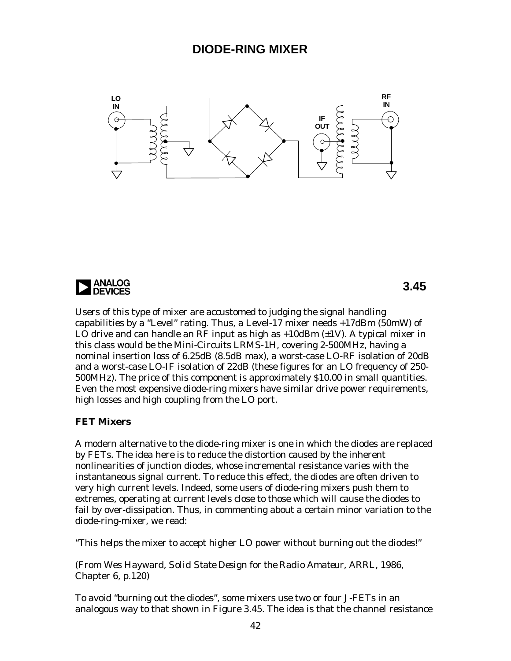



Users of this type of mixer are accustomed to judging the signal handling capabilities by a "Level" rating. Thus, a Level-17 mixer needs +17dBm (50mW) of LO drive and can handle an RF input as high as  $+10$ dBm  $(\pm 1V)$ . A typical mixer in this class would be the Mini-Circuits LRMS-1H, covering 2-500MHz, having a nominal insertion loss of 6.25dB (8.5dB max), a worst-case LO-RF isolation of 20dB and a worst-case LO-IF isolation of 22dB (these figures for an LO frequency of 250- 500MHz). The price of this component is approximately \$10.00 in small quantities. Even the most expensive diode-ring mixers have similar drive power requirements, high losses and high coupling from the LO port.

### **FET Mixers**

A modern alternative to the diode-ring mixer is one in which the diodes are replaced by FETs. The idea here is to reduce the distortion caused by the inherent nonlinearities of junction diodes, whose incremental resistance varies with the instantaneous signal current. To reduce this effect, the diodes are often driven to very high current levels. Indeed, some users of diode-ring mixers push them to extremes, operating at current levels close to those which will cause the diodes to fail by over-dissipation. Thus, in commenting about a certain minor variation to the diode-ring-mixer, we read:

"This helps the mixer to accept higher LO power without burning out the diodes!"

(From Wes Hayward, *Solid State Design for the Radio Amateur*, ARRL, 1986, Chapter 6, p.120)

To avoid "burning out the diodes", some mixers use two or four J-FETs in an analogous way to that shown in Figure 3.45. The idea is that the channel resistance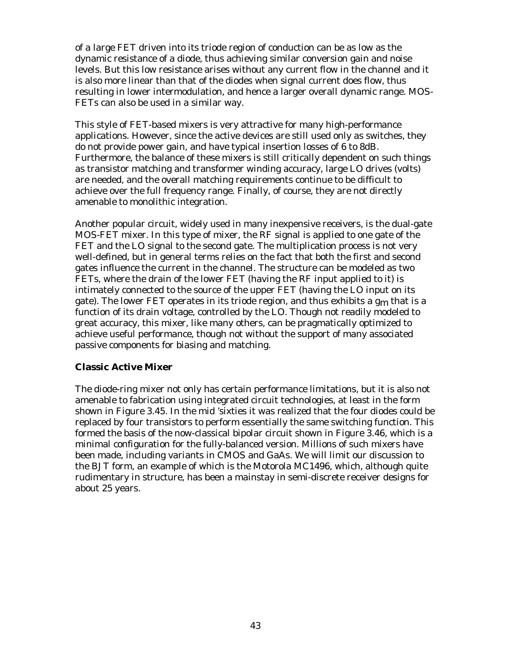of a large FET driven into its triode region of conduction can be as low as the dynamic resistance of a diode, thus achieving similar conversion gain and noise levels. But this low resistance arises without any current flow in the channel and it is also more linear than that of the diodes when signal current does flow, thus resulting in lower intermodulation, and hence a larger overall dynamic range. MOS-FETs can also be used in a similar way.

This style of FET-based mixers is very attractive for many high-performance applications. However, since the active devices are still used only as switches, they do not provide power gain, and have typical insertion losses of 6 to 8dB. Furthermore, the balance of these mixers is still critically dependent on such things as transistor matching and transformer winding accuracy, large LO drives (volts) are needed, and the overall matching requirements continue to be difficult to achieve over the full frequency range. Finally, of course, they are not directly amenable to monolithic integration.

Another popular circuit, widely used in many inexpensive receivers, is the dual-gate MOS-FET mixer. In this type of mixer, the RF signal is applied to one gate of the FET and the LO signal to the second gate. The multiplication process is not very well-defined, but in general terms relies on the fact that both the first and second gates influence the current in the channel. The structure can be modeled as two FETs, where the drain of the lower FET (having the RF input applied to it) is intimately connected to the source of the upper FET (having the LO input on its gate). The lower FET operates in its triode region, and thus exhibits a  $g<sub>m</sub>$  that is a function of its drain voltage, controlled by the LO. Though not readily modeled to great accuracy, this mixer, like many others, can be pragmatically optimized to achieve useful performance, though not without the support of many associated passive components for biasing and matching.

### **Classic Active Mixer**

The diode-ring mixer not only has certain performance limitations, but it is also not amenable to fabrication using integrated circuit technologies, at least in the form shown in Figure 3.45. In the mid 'sixties it was realized that the four diodes could be replaced by four transistors to perform essentially the same switching function. This formed the basis of the now-classical bipolar circuit shown in Figure 3.46, which is a minimal configuration for the fully-balanced version. Millions of such mixers have been made, including variants in CMOS and GaAs. We will limit our discussion to the BJT form, an example of which is the Motorola MC1496, which, although quite rudimentary in structure, has been a mainstay in semi-discrete receiver designs for about 25 years.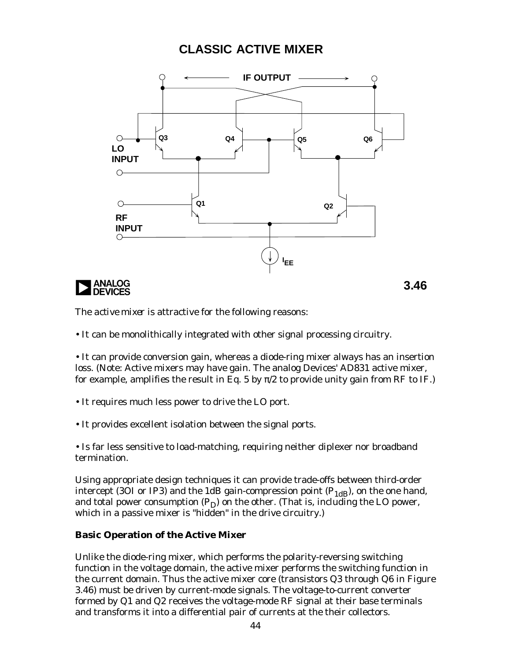# **CLASSIC ACTIVE MIXER**



The *active mixer* is attractive for the following reasons:

• It can be monolithically integrated with other signal processing circuitry.

• It can provide conversion gain, whereas a diode-ring mixer always has an insertion loss. (Note: Active mixers may have gain. The analog Devices' AD831 active mixer, for example, amplifies the result in Eq. 5 by  $\pi/2$  to provide unity gain from RF to IF.)

• It requires much less power to drive the LO port.

• It provides excellent isolation between the signal ports.

• Is far less sensitive to load-matching, requiring neither diplexer nor broadband termination.

Using appropriate design techniques it can provide trade-offs between third-order intercept (3OI or IP3) and the 1dB gain-compression point  $(P_{1dB})$ , on the one hand, and total power consumption  $(P_D)$  on the other. (That is, including the LO power, which in a passive mixer is "hidden" in the drive circuitry.)

### **Basic Operation of the Active Mixer**

Unlike the diode-ring mixer, which performs the polarity-reversing switching function in the voltage domain, the active mixer performs the switching function in the current domain. Thus the active mixer core (transistors Q3 through Q6 in Figure 3.46) must be driven by current-mode signals. The voltage-to-current converter formed by Q1 and Q2 receives the voltage-mode RF signal at their base terminals and transforms it into a differential pair of currents at the their collectors.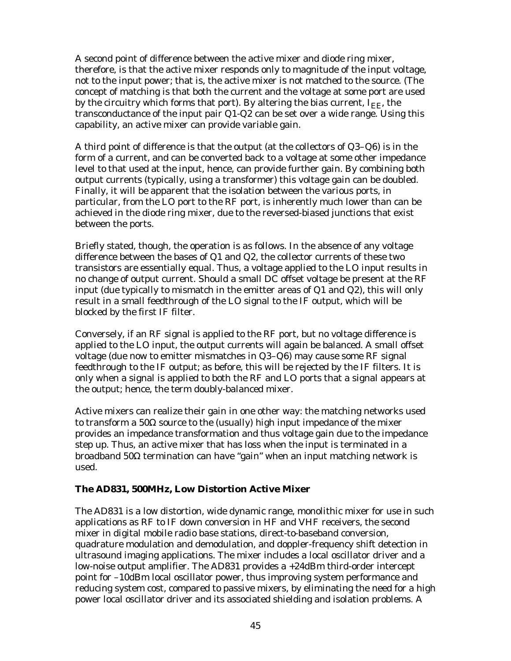A second point of difference between the active mixer and diode ring mixer, therefore, is that the active mixer responds only to magnitude of the input voltage, not to the input power; that is, the active mixer is not matched to the source. (The concept of matching is that both the current and the voltage at some port are used by the circuitry which forms that port). By altering the bias current,  $I_{\text{FF}}$ , the transconductance of the input pair Q1-Q2 can be set over a wide range. Using this capability, an active mixer can provide variable gain.

A third point of difference is that the output (at the collectors of Q3–Q6) is in the form of a current, and can be converted back to a voltage at some other impedance level to that used at the input, hence, can provide further gain. By combining both output currents (typically, using a transformer) this voltage gain can be doubled. Finally, it will be apparent that the isolation between the various ports, in particular, from the LO port to the RF port, is inherently much lower than can be achieved in the diode ring mixer, due to the reversed-biased junctions that exist between the ports.

Briefly stated, though, the operation is as follows. In the absence of any voltage difference between the bases of Q1 and Q2, the collector currents of these two transistors are essentially equal. Thus, a voltage applied to the LO input results in no change of output current. Should a small DC offset voltage be present at the RF input (due typically to mismatch in the emitter areas of Q1 and Q2), this will only result in a small feedthrough of the LO signal to the IF output, which will be blocked by the first IF filter.

Conversely, if an RF signal is applied to the RF port, but no voltage difference is applied to the LO input, the output currents will again be balanced. A small offset voltage (due now to emitter mismatches in Q3–Q6) may cause some RF signal feedthrough to the IF output; as before, this will be rejected by the IF filters. It is only when a signal is applied to both the RF and LO ports that a signal appears at the output; hence, the term doubly-balanced mixer.

Active mixers can realize their gain in one other way: the matching networks used to transform a  $50\Omega$  source to the (usually) high input impedance of the mixer provides an impedance transformation and thus voltage gain due to the impedance step up. Thus, an active mixer that has loss when the input is terminated in a broadband 50 $\Omega$  termination can have "gain" when an input matching network is used.

### **The AD831, 500MHz, Low Distortion Active Mixer**

The AD831 is a low distortion, wide dynamic range, monolithic mixer for use in such applications as RF to IF down conversion in HF and VHF receivers, the second mixer in digital mobile radio base stations, direct-to-baseband conversion, quadrature modulation and demodulation, and doppler-frequency shift detection in ultrasound imaging applications. The mixer includes a local oscillator driver and a low-noise output amplifier. The AD831 provides a +24dBm third-order intercept point for –10dBm local oscillator power, thus improving system performance and reducing system cost, compared to passive mixers, by eliminating the need for a high power local oscillator driver and its associated shielding and isolation problems. A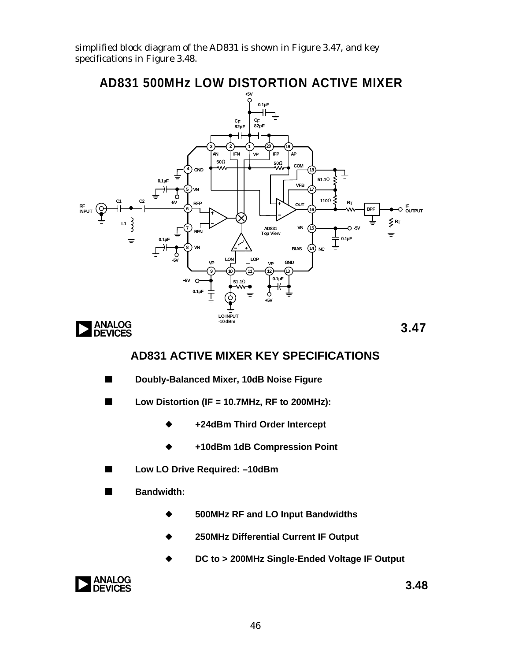simplified block diagram of the AD831 is shown in Figure 3.47, and key specifications in Figure 3.48.



### **AD831 500MHz LOW DISTORTION ACTIVE MIXER**

### **AD831 ACTIVE MIXER KEY SPECIFICATIONS**

- Doubly-Balanced Mixer, 10dB Noise Figure
- Low Distortion (IF = 10.7MHz, RF to 200MHz):
	- **+24dBm Third Order Intercept**
	- u **+10dBm 1dB Compression Point**
- Low LO Drive Required: -10dBm
- **n** Bandwidth:
	- u **500MHz RF and LO Input Bandwidths**
	- ◆ 250MHz Differential Current IF Output
	- DC to > 200MHz Single-Ended Voltage IF Output



**3.48**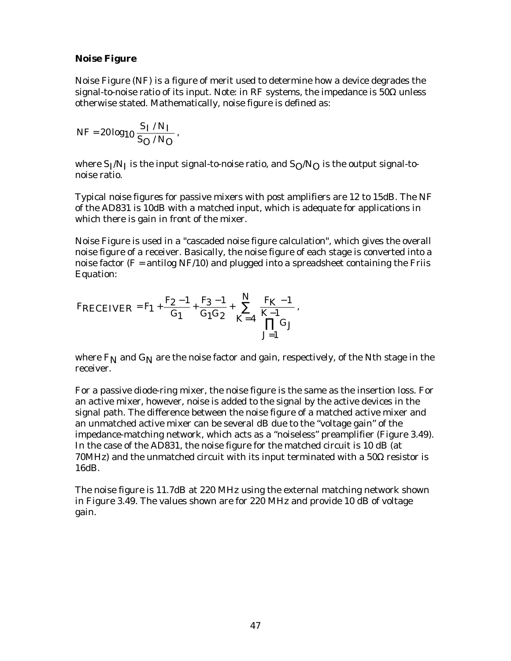### **Noise Figure**

Noise Figure (NF) is a figure of merit used to determine how a device degrades the signal-to-noise ratio of its input. Note: in RF systems, the impedance is  $50\Omega$  unless otherwise stated. Mathematically, noise figure is defined as:

$$
NF = 20 \log_{10} \frac{S_I / N_I}{S_O / N_O},
$$

where  $\rm{S_I/N_I}$  is the input signal-to-noise ratio, and  $\rm{S_O/N_O}$  is the output signal-tonoise ratio.

Typical noise figures for passive mixers with post amplifiers are 12 to 15dB. The NF of the AD831 is 10dB with a matched input, which is adequate for applications in which there is gain in front of the mixer.

Noise Figure is used in a "cascaded noise figure calculation", which gives the overall noise figure of a receiver. Basically, the noise figure of each stage is converted into a noise factor  $(F = antilog NF/10)$  and plugged into a spreadsheet containing the Friis Equation:

$$
F_{RECEIVER} = F_1 + \frac{F_2 - 1}{G_1} + \frac{F_3 - 1}{G_1 G_2} + \sum_{K=4}^{N} \frac{F_K - 1}{\prod_{J=1}^{K-1} G_J},
$$

where  $F_N$  and  $G_N$  are the noise factor and gain, respectively, of the Nth stage in the receiver.

For a passive diode-ring mixer, the noise figure is the same as the insertion loss. For an active mixer, however, noise is added to the signal by the active devices in the signal path. The difference between the noise figure of a matched active mixer and an unmatched active mixer can be several dB due to the "voltage gain" of the impedance-matching network, which acts as a "noiseless" preamplifier (Figure 3.49). In the case of the AD831, the noise figure for the matched circuit is 10 dB (at 70MHz) and the unmatched circuit with its input terminated with a 50 $\Omega$  resistor is 16dB.

The noise figure is 11.7dB at 220 MHz using the external matching network shown in Figure 3.49. The values shown are for 220 MHz and provide 10 dB of voltage gain.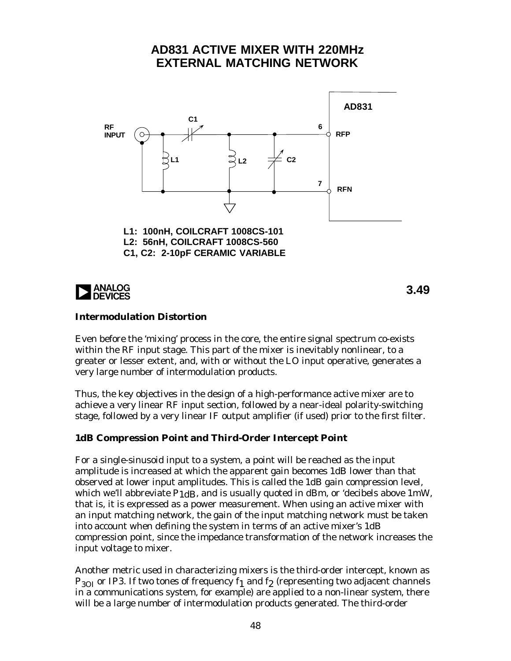# **AD831 ACTIVE MIXER WITH 220MHz EXTERNAL MATCHING NETWORK**



**C1, C2: 2-10pF CERAMIC VARIABLE**



### **Intermodulation Distortion**

Even before the 'mixing' process in the core, the entire signal spectrum co-exists within the RF input stage. This part of the mixer is inevitably nonlinear, to a greater or lesser extent, and, with or without the LO input operative, generates a very large number of intermodulation products.

Thus, the key objectives in the design of a high-performance active mixer are to achieve a very linear RF input section, followed by a near-ideal polarity-switching stage, followed by a very linear IF output amplifier (if used) prior to the first filter.

### **1dB Compression Point and Third-Order Intercept Point**

For a single-sinusoid input to a system, a point will be reached as the input amplitude is increased at which the apparent gain becomes 1dB lower than that observed at lower input amplitudes. This is called the 1dB gain compression level, which we'll abbreviate P1dB, and is usually quoted in dBm, or 'decibels above 1mW, that is, it is expressed as a power measurement. When using an active mixer with an input matching network, the gain of the input matching network must be taken into account when defining the system in terms of an active mixer's 1dB compression point, since the impedance transformation of the network increases the input voltage to mixer.

Another metric used in characterizing mixers is the third-order intercept, known as  $\mathrm{P_{3OI}}$  or IP3. If two tones of frequency  $\mathrm{f_{1}}$  and  $\mathrm{f_{2}}$  (representing two adjacent channels in a communications system, for example) are applied to a non-linear system, there will be a large number of intermodulation products generated. The third-order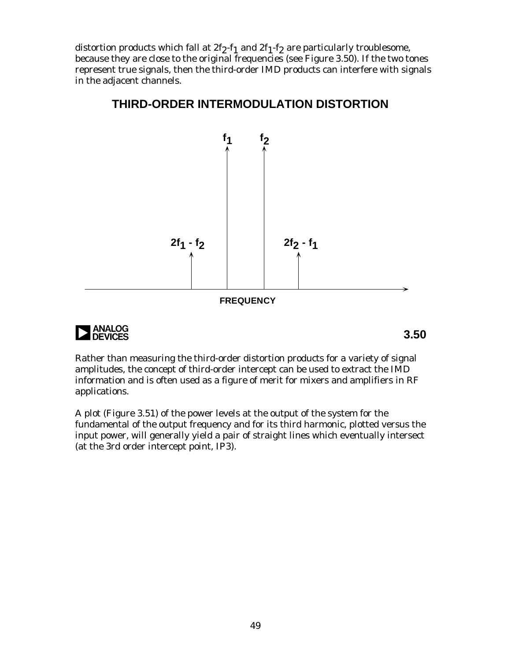distortion products which fall at 2f $_2$ -f $_1$  and 2f $_1$ -f $_2$  are particularly troublesome, because they are close to the original frequencies (see Figure 3.50). If the two tones represent true signals, then the third-order IMD products can interfere with signals in the adjacent channels.



### **THIRD-ORDER INTERMODULATION DISTORTION**



Rather than measuring the third-order distortion products for a variety of signal amplitudes, the concept of third-order intercept can be used to extract the IMD information and is often used as a figure of merit for mixers and amplifiers in RF applications.

**3.50**

A plot (Figure 3.51) of the power levels at the output of the system for the fundamental of the output frequency and for its third harmonic, plotted versus the input power, will generally yield a pair of straight lines which eventually intersect (at the 3rd order intercept point, IP3).

49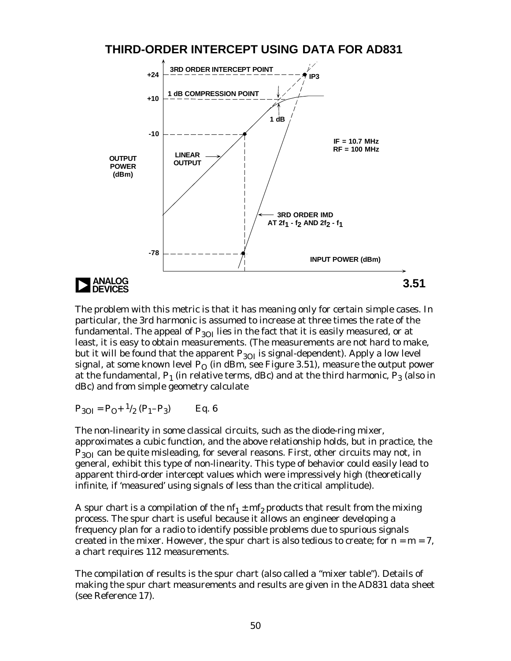### **THIRD-ORDER INTERCEPT USING DATA FOR AD831**



The problem with this metric is that it has meaning only for certain simple cases. In particular, the 3rd harmonic is assumed to increase at three times the rate of the fundamental. The appeal of  $P_{30I}$  lies in the fact that it is easily measured, or at least, it is easy to obtain measurements. (The measurements are not hard to make, but it will be found that the apparent  $P_{3OI}$  is signal-dependent). Apply a low level signal, at some known level  $P_{\Omega}$  (in dBm, see Figure 3.51), measure the output power at the fundamental,  ${\sf P}_1$  (in relative terms, dBc) and at the third harmonic,  ${\sf P}_3$  (also in dBc) and from simple geometry calculate

 $P_{3OI} = P_{O} + \frac{1}{2} (P_1 - P_3)$ ) Eq. 6

The non-linearity in some classical circuits, such as the diode-ring mixer, approximates a cubic function, and the above relationship holds, but in practice, the  $P<sub>30I</sub>$  can be quite misleading, for several reasons. First, other circuits may not, in general, exhibit this type of non-linearity. This type of behavior could easily lead to apparent third-order intercept values which were impressively high (theoretically infinite, if 'measured' using signals of less than the critical amplitude).

A *spur chart* is a compilation of the  $\text{nf}_1 \pm \text{mf}_2$  products that result from the mixing process. The spur chart is useful because it allows an engineer developing a frequency plan for a radio to identify possible problems due to spurious signals created in the mixer. However, the spur chart is also tedious to create; for  $n = m = 7$ , a chart requires 112 measurements.

The compilation of results is the spur chart (also called a "mixer table"). Details of making the spur chart measurements and results are given in the AD831 data sheet (see Reference 17).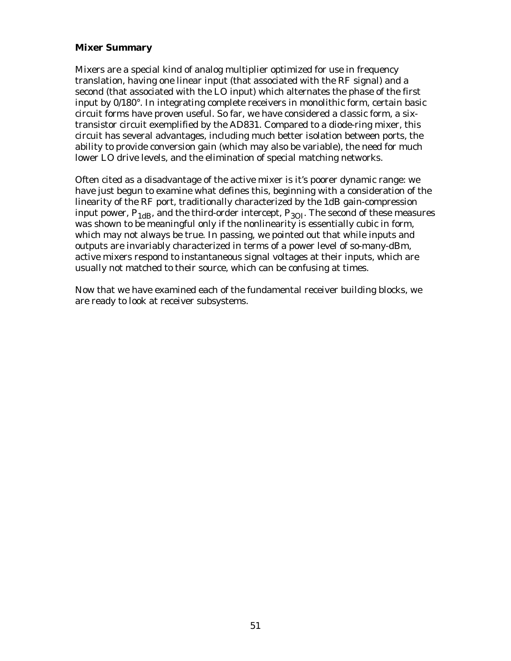### **Mixer Summary**

Mixers are a special kind of analog multiplier optimized for use in frequency translation, having one linear input (that associated with the RF signal) and a second (that associated with the LO input) which alternates the phase of the first input by 0/180°. In integrating complete receivers in monolithic form, certain basic circuit forms have proven useful. So far, we have considered a classic form, a sixtransistor circuit exemplified by the AD831. Compared to a diode-ring mixer, this circuit has several advantages, including much better isolation between ports, the ability to provide conversion gain (which may also be variable), the need for much lower LO drive levels, and the elimination of special matching networks.

Often cited as a disadvantage of the active mixer is it's poorer dynamic range: we have just begun to examine what defines this, beginning with a consideration of the linearity of the RF port, traditionally characterized by the 1dB gain-compression input power,  $P_{1dB}$ , and the third-order intercept,  $P_{3OL}$ . The second of these measures was shown to be meaningful only if the nonlinearity is essentially cubic in form, which may not always be true. In passing, we pointed out that while inputs and outputs are invariably characterized in terms of a power level of so-many-dBm, active mixers respond to instantaneous signal voltages at their inputs, which are usually not matched to their source, which can be confusing at times.

Now that we have examined each of the fundamental receiver building blocks, we are ready to look at receiver subsystems.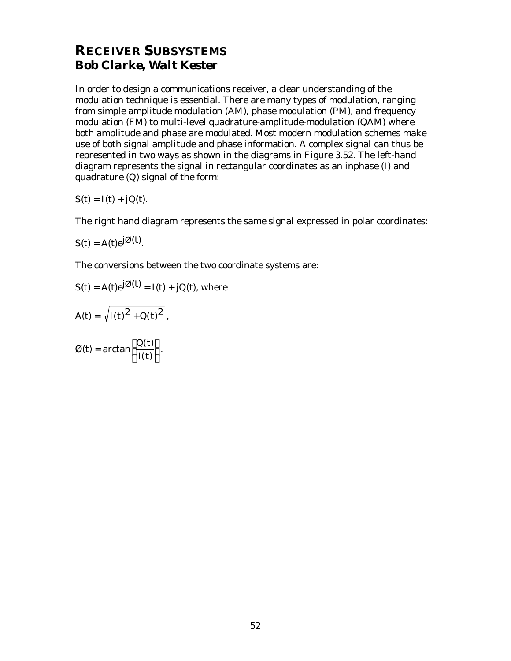# **RECEIVER SUBSYSTEMS** *Bob Clarke, Walt Kester*

In order to design a communications receiver, a clear understanding of the modulation technique is essential. There are many types of modulation, ranging from simple amplitude modulation (AM), phase modulation (PM), and frequency modulation (FM) to multi-level quadrature-amplitude-modulation (QAM) where both amplitude and phase are modulated. Most modern modulation schemes make use of both signal amplitude and phase information. A complex signal can thus be represented in two ways as shown in the diagrams in Figure 3.52. The left-hand diagram represents the signal in rectangular coordinates as an inphase (I) and quadrature (Q) signal of the form:

$$
S(t) = I(t) + jQ(t).
$$

The right hand diagram represents the same signal expressed in polar coordinates:

 $S(t) = A(t)e^{j\mathcal{O}(t)}$ .

The conversions between the two coordinate systems are:

$$
S(t) = A(t)e^{j\mathcal{O}(t)} = I(t) + jQ(t),
$$
 where

$$
A(t) = \sqrt{I(t)^{2} + Q(t)^{2}} ,
$$

$$
\varnothing(t) = \arctan\left[\frac{Q(t)}{I(t)}\right].
$$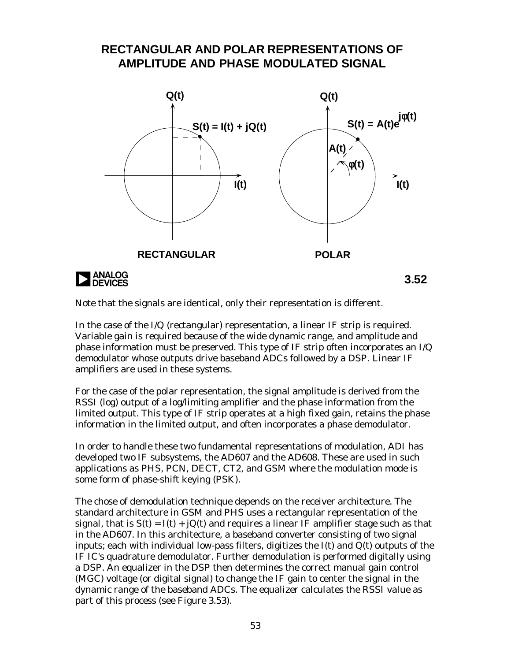# **RECTANGULAR AND POLAR REPRESENTATIONS OF AMPLITUDE AND PHASE MODULATED SIGNAL**



Note that the signals are identical, only their representation is different.

In the case of the I/Q (rectangular) representation, a linear IF strip is required. Variable gain is required because of the wide dynamic range, and amplitude and phase information must be preserved. This type of IF strip often incorporates an I/Q demodulator whose outputs drive baseband ADCs followed by a DSP. Linear IF amplifiers are used in these systems.

For the case of the polar representation, the signal amplitude is derived from the RSSI (log) output of a log/limiting amplifier and the phase information from the limited output. This type of IF strip operates at a high fixed gain, retains the phase information in the limited output, and often incorporates a phase demodulator.

In order to handle these two fundamental representations of modulation, ADI has developed two IF subsystems, the AD607 and the AD608. These are used in such applications as PHS, PCN, DECT, CT2, and GSM where the modulation mode is some form of phase-shift keying (PSK).

The chose of demodulation technique depends on the receiver architecture. The standard architecture in GSM and PHS uses a rectangular representation of the signal, that is  $S(t) = I(t) + iQ(t)$  and requires a linear IF amplifier stage such as that in the AD607. In this architecture, a baseband converter consisting of two signal inputs; each with individual low-pass filters, digitizes the  $I(t)$  and  $Q(t)$  outputs of the IF IC's quadrature demodulator. Further demodulation is performed digitally using a DSP. An equalizer in the DSP then determines the correct manual gain control (MGC) voltage (or digital signal) to change the IF gain to center the signal in the dynamic range of the baseband ADCs. The equalizer calculates the RSSI value as part of this process (see Figure 3.53).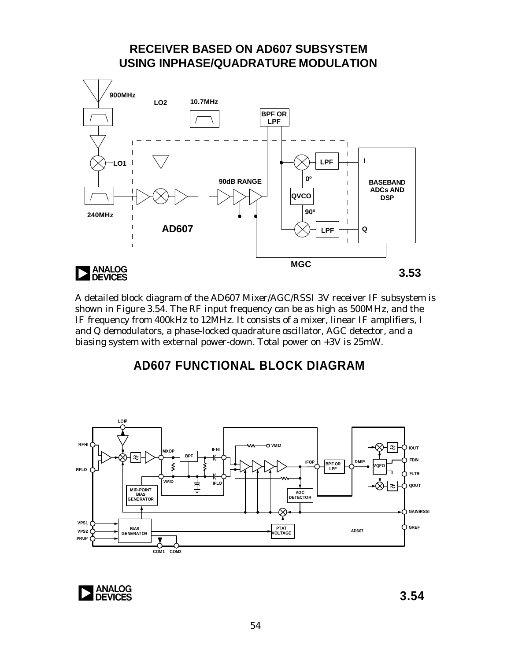### **RECEIVER BASED ON AD607 SUBSYSTEM USING INPHASE/QUADRATURE MODULATION**



A detailed block diagram of the AD607 Mixer/AGC/RSSI 3V receiver IF subsystem is shown in Figure 3.54. The RF input frequency can be as high as 500MHz, and the IF frequency from 400kHz to 12MHz. It consists of a mixer, linear IF amplifiers, I and Q demodulators, a phase-locked quadrature oscillator, AGC detector, and a biasing system with external power-down. Total power on +3V is 25mW.

# **AD607 FUNCTIONAL BLOCK DIAGRAM**



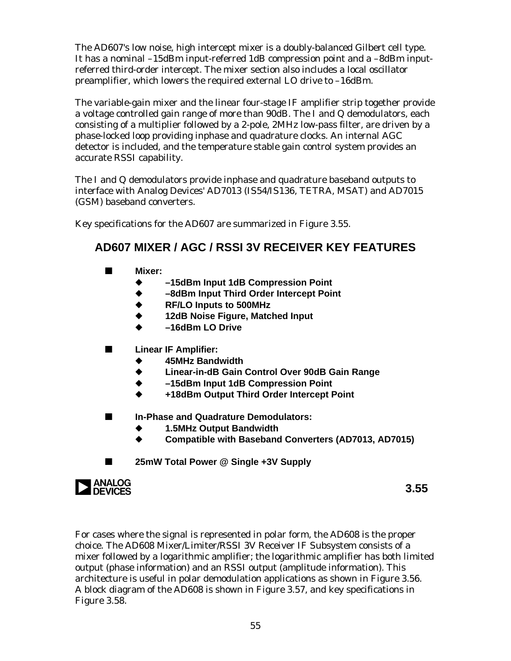The AD607's low noise, high intercept mixer is a doubly-balanced Gilbert cell type. It has a nominal –15dBm input-referred 1dB compression point and a –8dBm inputreferred third-order intercept. The mixer section also includes a local oscillator preamplifier, which lowers the required external LO drive to –16dBm.

The variable-gain mixer and the linear four-stage IF amplifier strip together provide a voltage controlled gain range of more than 90dB. The I and Q demodulators, each consisting of a multiplier followed by a 2-pole, 2MHz low-pass filter, are driven by a phase-locked loop providing inphase and quadrature clocks. An internal AGC detector is included, and the temperature stable gain control system provides an accurate RSSI capability.

The I and Q demodulators provide inphase and quadrature baseband outputs to interface with Analog Devices' AD7013 (IS54/IS136, TETRA, MSAT) and AD7015 (GSM) baseband converters.

Key specifications for the AD607 are summarized in Figure 3.55.

# **AD607 MIXER / AGC / RSSI 3V RECEIVER KEY FEATURES**

- **n** Mixer:
	- u **–15dBm Input 1dB Compression Point**
	- **–8dBm Input Third Order Intercept Point**
	- ◆ RF/LO Inputs to 500MHz
	- **12dB Noise Figure, Matched Input**
	- u **–16dBm LO Drive**
- **n** Linear IF Amplifier:
	- u **45MHz Bandwidth**
	- **Linear-in-dB Gain Control Over 90dB Gain Range**
	- u **–15dBm Input 1dB Compression Point**
	- u **+18dBm Output Third Order Intercept Point**
- $\blacksquare$  In-Phase and Quadrature Demodulators:
	- u **1.5MHz Output Bandwidth**
	- **Compatible with Baseband Converters (AD7013, AD7015)**
- 25mW Total Power @ Single +3V Supply



**3.55**

For cases where the signal is represented in polar form, the AD608 is the proper choice. The AD608 Mixer/Limiter/RSSI 3V Receiver IF Subsystem consists of a mixer followed by a logarithmic amplifier; the logarithmic amplifier has both limited output (phase information) and an RSSI output (amplitude information). This architecture is useful in polar demodulation applications as shown in Figure 3.56. A block diagram of the AD608 is shown in Figure 3.57, and key specifications in Figure 3.58.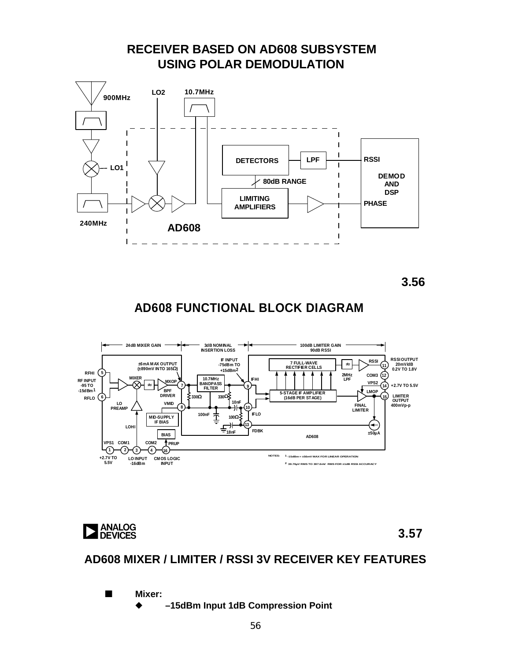### **RECEIVER BASED ON AD608 SUBSYSTEM USING POLAR DEMODULATION**



**3.56**

# **AD608 FUNCTIONAL BLOCK DIAGRAM**





### **AD608 MIXER / LIMITER / RSSI 3V RECEIVER KEY FEATURES**

**n Mixer:** u **–15dBm Input 1dB Compression Point**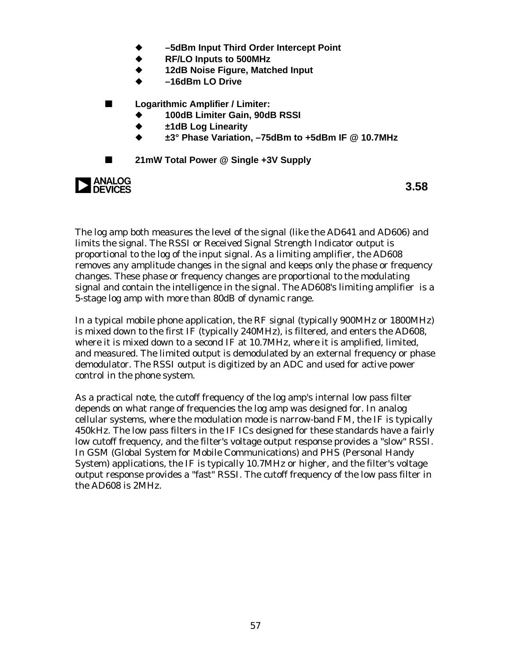- u **–5dBm Input Third Order Intercept Point**
- u **RF/LO Inputs to 500MHz**
- **12dB Noise Figure, Matched Input**
- u **–16dBm LO Drive**

■ Logarithmic Amplifier / Limiter:

- u **100dB Limiter Gain, 90dB RSSI**
- ◆ **±1dB Log Linearity**
- u **±3° Phase Variation, –75dBm to +5dBm IF @ 10.7MHz**





**3.58**

The log amp both measures the level of the signal (like the AD641 and AD606) and limits the signal. The RSSI or Received Signal Strength Indicator output is proportional to the log of the input signal. As a limiting amplifier, the AD608 removes any amplitude changes in the signal and keeps only the phase or frequency changes. These phase or frequency changes are proportional to the modulating signal and contain the intelligence in the signal. The AD608's limiting amplifier is a 5-stage log amp with more than 80dB of dynamic range.

In a typical mobile phone application, the RF signal (typically 900MHz or 1800MHz) is mixed down to the first IF (typically 240MHz), is filtered, and enters the AD608, where it is mixed down to a second IF at 10.7MHz, where it is amplified, limited, and measured. The limited output is demodulated by an external frequency or phase demodulator. The RSSI output is digitized by an ADC and used for active power control in the phone system.

As a practical note, the cutoff frequency of the log amp's internal low pass filter depends on what range of frequencies the log amp was designed for. In analog cellular systems, where the modulation mode is narrow-band FM, the IF is typically 450kHz. The low pass filters in the IF ICs designed for these standards have a fairly low cutoff frequency, and the filter's voltage output response provides a "slow" RSSI. In GSM (Global System for Mobile Communications) and PHS (Personal Handy System) applications, the IF is typically 10.7MHz or higher, and the filter's voltage output response provides a "fast" RSSI. The cutoff frequency of the low pass filter in the AD608 is 2MHz.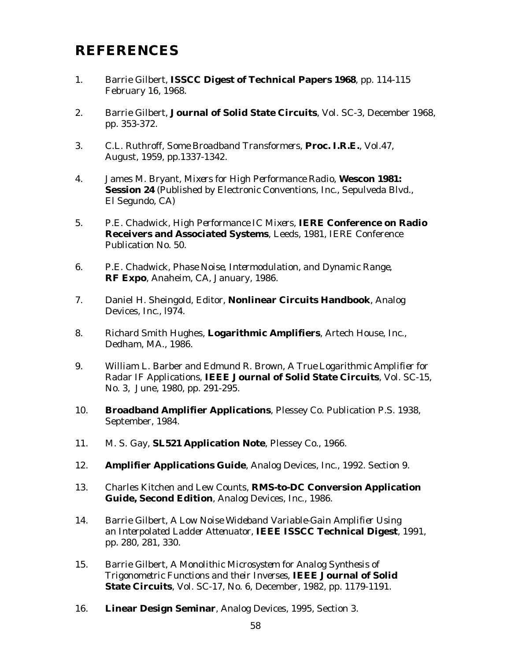# **REFERENCES**

- 1. Barrie Gilbert, **ISSCC Digest of Technical Papers 1968**, pp. 114-115 February 16, 1968.
- 2. Barrie Gilbert, **Journal of Solid State Circuits**, Vol. SC-3, December 1968, pp. 353-372.
- 3. C.L. Ruthroff, *Some Broadband Transformers*, **Proc. I.R.E.**, Vol.47, August, 1959, pp.1337-1342.
- 4. James M. Bryant, *Mixers for High Performance Radio*, **Wescon 1981: Session 24** (Published by Electronic Conventions, Inc., Sepulveda Blvd., El Segundo, CA)
- 5. P.E. Chadwick, *High Performance IC Mixers*, **IERE Conference on Radio Receivers and Associated Systems**, Leeds, 1981, IERE Conference Publication No. 50.
- 6. P.E. Chadwick, *Phase Noise, Intermodulation, and Dynamic Range*, **RF Expo**, Anaheim, CA, January, 1986.
- 7. Daniel H. Sheingold, Editor, **Nonlinear Circuits Handbook**, Analog Devices, Inc., l974.
- 8. Richard Smith Hughes, **Logarithmic Amplifiers**, Artech House, Inc., Dedham, MA., 1986.
- 9. William L. Barber and Edmund R. Brown, *A True Logarithmic Amplifier for Radar IF Applications*, **IEEE Journal of Solid State Circuits**, Vol. SC-15, No. 3, June, 1980, pp. 291-295.
- 10. **Broadband Amplifier Applications**, Plessey Co. Publication P.S. 1938, September, 1984.
- 11. M. S. Gay, **SL521 Application Note**, Plessey Co., 1966.
- 12. **Amplifier Applications Guide**, Analog Devices, Inc., 1992. Section 9.
- 13. Charles Kitchen and Lew Counts, **RMS-to-DC Conversion Application Guide, Second Edition**, Analog Devices, Inc., 1986.
- 14. Barrie Gilbert, *A Low Noise Wideband Variable-Gain Amplifier Using an Interpolated Ladder Attenuator*, **IEEE ISSCC Technical Digest**, 1991, pp. 280, 281, 330.
- 15. Barrie Gilbert, *A Monolithic Microsystem for Analog Synthesis of Trigonometric Functions and their Inverses*, **IEEE Journal of Solid State Circuits**, Vol. SC-17, No. 6, December, 1982, pp. 1179-1191.
- 16. **Linear Design Seminar**, Analog Devices, 1995, Section 3.